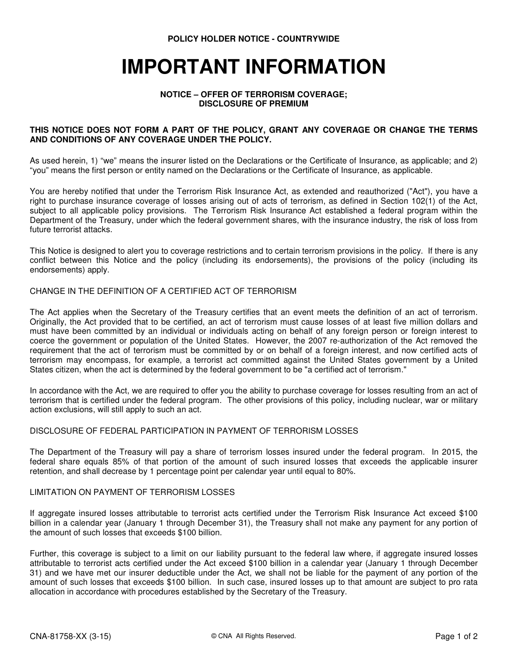POLICY HOLDER NOTICE - COUNTRYWIDE

# IMPORTANT INFORMATION

#### NOTICE – OFFER OF TERRORISM COVERAGE; DISCLOSURE OF PREMIUM

#### THIS NOTICE DOES NOT FORM A PART OF THE POLICY, GRANT ANY COVERAGE OR CHANGE THE TERMS AND CONDITIONS OF ANY COVERAGE UNDER THE POLICY.

As used herein, 1) "we" means the insurer listed on the Declarations or the Certificate of Insurance, as applicable; and 2) "you" means the first person or entity named on the Declarations or the Certificate of Insurance, as applicable.

You are hereby notified that under the Terrorism Risk Insurance Act, as extended and reauthorized ("Act"), you have a right to purchase insurance coverage of losses arising out of acts of terrorism, as defined in Section 102(1) of the Act, subject to all applicable policy provisions. The Terrorism Risk Insurance Act established a federal program within the Department of the Treasury, under which the federal government shares, with the insurance industry, the risk of loss from future terrorist attacks.

This Notice is designed to alert you to coverage restrictions and to certain terrorism provisions in the policy. If there is any conflict between this Notice and the policy (including its endorsements), the provisions of the policy (including its endorsements) apply.

#### CHANGE IN THE DEFINITION OF A CERTIFIED ACT OF TERRORISM

The Act applies when the Secretary of the Treasury certifies that an event meets the definition of an act of terrorism. Originally, the Act provided that to be certified, an act of terrorism must cause losses of at least five million dollars and must have been committed by an individual or individuals acting on behalf of any foreign person or foreign interest to coerce the government or population of the United States. However, the 2007 re-authorization of the Act removed the requirement that the act of terrorism must be committed by or on behalf of a foreign interest, and now certified acts of terrorism may encompass, for example, a terrorist act committed against the United States government by a United States citizen, when the act is determined by the federal government to be "a certified act of terrorism."

In accordance with the Act, we are required to offer you the ability to purchase coverage for losses resulting from an act of terrorism that is certified under the federal program. The other provisions of this policy, including nuclear, war or military action exclusions, will still apply to such an act.

#### DISCLOSURE OF FEDERAL PARTICIPATION IN PAYMENT OF TERRORISM LOSSES

The Department of the Treasury will pay a share of terrorism losses insured under the federal program. In 2015, the federal share equals 85% of that portion of the amount of such insured losses that exceeds the applicable insurer retention, and shall decrease by 1 percentage point per calendar year until equal to 80%.

#### LIMITATION ON PAYMENT OF TERRORISM LOSSES

If aggregate insured losses attributable to terrorist acts certified under the Terrorism Risk Insurance Act exceed \$100 billion in a calendar year (January 1 through December 31), the Treasury shall not make any payment for any portion of the amount of such losses that exceeds \$100 billion.

Further, this coverage is subject to a limit on our liability pursuant to the federal law where, if aggregate insured losses attributable to terrorist acts certified under the Act exceed \$100 billion in a calendar year (January 1 through December 31) and we have met our insurer deductible under the Act, we shall not be liable for the payment of any portion of the amount of such losses that exceeds \$100 billion. In such case, insured losses up to that amount are subject to pro rata allocation in accordance with procedures established by the Secretary of the Treasury.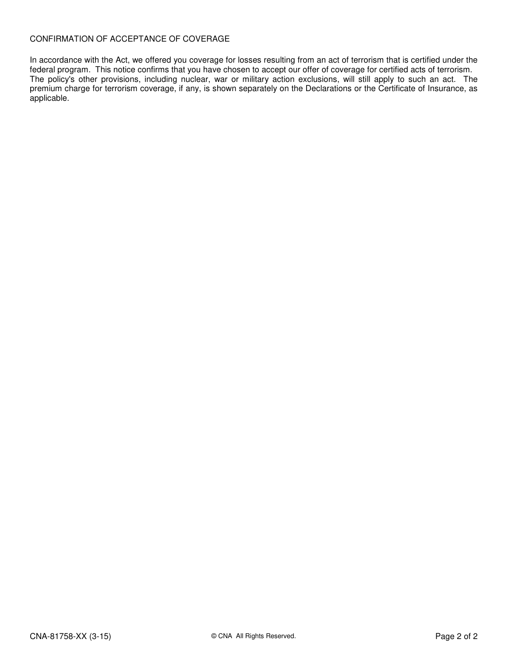#### CONFIRMATION OF ACCEPTANCE OF COVERAGE

In accordance with the Act, we offered you coverage for losses resulting from an act of terrorism that is certified under the federal program. This notice confirms that you have chosen to accept our offer of coverage for certified acts of terrorism. The policy's other provisions, including nuclear, war or military action exclusions, will still apply to such an act. The premium charge for terrorism coverage, if any, is shown separately on the Declarations or the Certificate of Insurance, as applicable.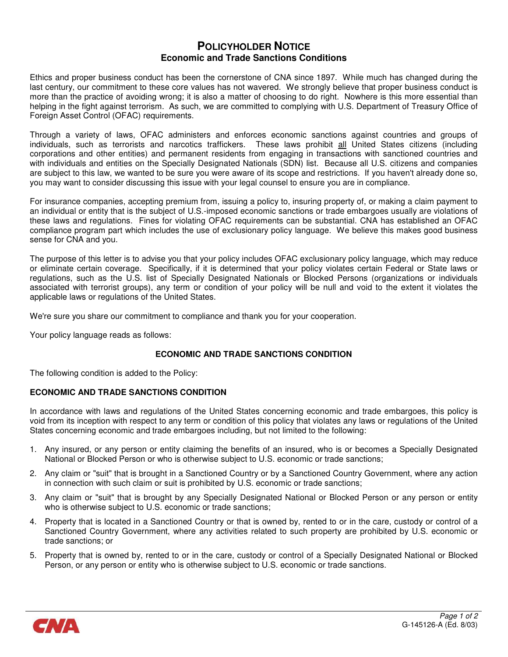#### POLICYHOLDER NOTICE Economic and Trade Sanctions Conditions

Ethics and proper business conduct has been the cornerstone of CNA since 1897. While much has changed during the last century, our commitment to these core values has not wavered. We strongly believe that proper business conduct is more than the practice of avoiding wrong; it is also a matter of choosing to do right. Nowhere is this more essential than helping in the fight against terrorism. As such, we are committed to complying with U.S. Department of Treasury Office of Foreign Asset Control (OFAC) requirements.

Through a variety of laws, OFAC administers and enforces economic sanctions against countries and groups of individuals, such as terrorists and narcotics traffickers. These laws prohibit all United States citizens (including corporations and other entities) and permanent residents from engaging in transactions with sanctioned countries and with individuals and entities on the Specially Designated Nationals (SDN) list. Because all U.S. citizens and companies are subject to this law, we wanted to be sure you were aware of its scope and restrictions. If you haven't already done so, you may want to consider discussing this issue with your legal counsel to ensure you are in compliance.

For insurance companies, accepting premium from, issuing a policy to, insuring property of, or making a claim payment to an individual or entity that is the subject of U.S.-imposed economic sanctions or trade embargoes usually are violations of these laws and regulations. Fines for violating OFAC requirements can be substantial. CNA has established an OFAC compliance program part which includes the use of exclusionary policy language. We believe this makes good business sense for CNA and you.

The purpose of this letter is to advise you that your policy includes OFAC exclusionary policy language, which may reduce or eliminate certain coverage. Specifically, if it is determined that your policy violates certain Federal or State laws or regulations, such as the U.S. list of Specially Designated Nationals or Blocked Persons (organizations or individuals associated with terrorist groups), any term or condition of your policy will be null and void to the extent it violates the applicable laws or regulations of the United States.

We're sure you share our commitment to compliance and thank you for your cooperation.

Your policy language reads as follows:

#### ECONOMIC AND TRADE SANCTIONS CONDITION

The following condition is added to the Policy:

#### ECONOMIC AND TRADE SANCTIONS CONDITION

In accordance with laws and regulations of the United States concerning economic and trade embargoes, this policy is void from its inception with respect to any term or condition of this policy that violates any laws or regulations of the United States concerning economic and trade embargoes including, but not limited to the following:

- 1. Any insured, or any person or entity claiming the benefits of an insured, who is or becomes a Specially Designated National or Blocked Person or who is otherwise subject to U.S. economic or trade sanctions;
- 2. Any claim or "suit" that is brought in a Sanctioned Country or by a Sanctioned Country Government, where any action in connection with such claim or suit is prohibited by U.S. economic or trade sanctions;
- 3. Any claim or "suit" that is brought by any Specially Designated National or Blocked Person or any person or entity who is otherwise subject to U.S. economic or trade sanctions;
- 4. Property that is located in a Sanctioned Country or that is owned by, rented to or in the care, custody or control of a Sanctioned Country Government, where any activities related to such property are prohibited by U.S. economic or trade sanctions; or
- 5. Property that is owned by, rented to or in the care, custody or control of a Specially Designated National or Blocked Person, or any person or entity who is otherwise subject to U.S. economic or trade sanctions.

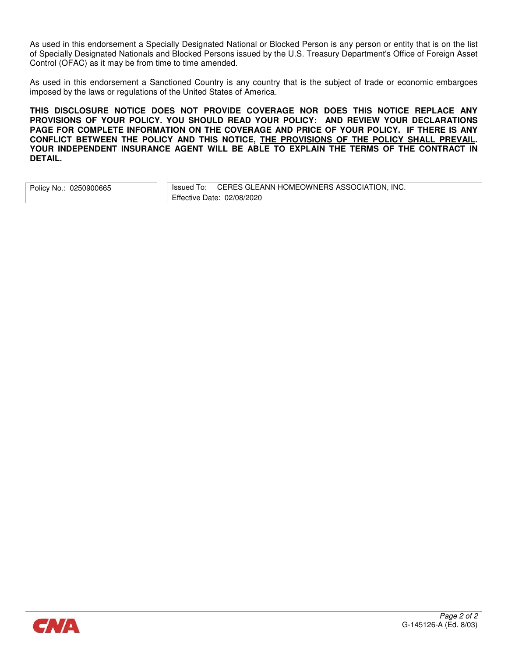As used in this endorsement a Specially Designated National or Blocked Person is any person or entity that is on the list of Specially Designated Nationals and Blocked Persons issued by the U.S. Treasury Department's Office of Foreign Asset Control (OFAC) as it may be from time to time amended.

As used in this endorsement a Sanctioned Country is any country that is the subject of trade or economic embargoes imposed by the laws or regulations of the United States of America.

THIS DISCLOSURE NOTICE DOES NOT PROVIDE COVERAGE NOR DOES THIS NOTICE REPLACE ANY PROVISIONS OF YOUR POLICY. YOU SHOULD READ YOUR POLICY: AND REVIEW YOUR DECLARATIONS PAGE FOR COMPLETE INFORMATION ON THE COVERAGE AND PRICE OF YOUR POLICY. IF THERE IS ANY CONFLICT BETWEEN THE POLICY AND THIS NOTICE, THE PROVISIONS OF THE POLICY SHALL PREVAIL. YOUR INDEPENDENT INSURANCE AGENT WILL BE ABLE TO EXPLAIN THE TERMS OF THE CONTRACT IN DETAIL.

|  | Policy No.: 0250900665 |
|--|------------------------|
|--|------------------------|

Issued To: CERES GLEANN HOMEOWNERS ASSOCIATION, INC. Effective Date: 02/08/2020

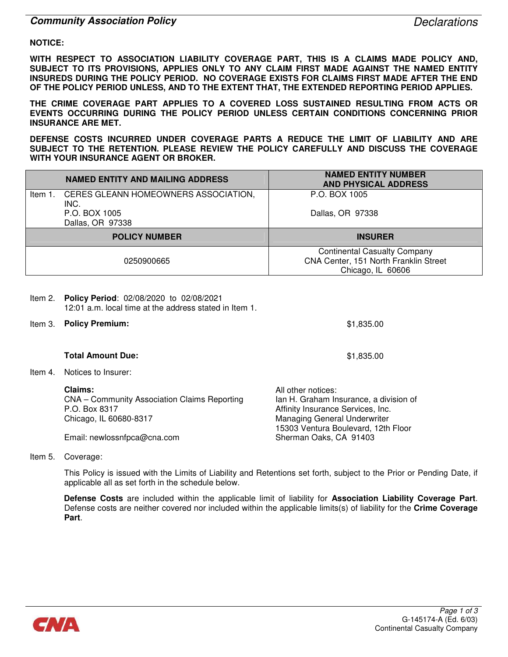#### **Community Association Policy** Declarations **Community Association Policy**

#### NOTICE:

WITH RESPECT TO ASSOCIATION LIABILITY COVERAGE PART, THIS IS A CLAIMS MADE POLICY AND, SUBJECT TO ITS PROVISIONS, APPLIES ONLY TO ANY CLAIM FIRST MADE AGAINST THE NAMED ENTITY INSUREDS DURING THE POLICY PERIOD. NO COVERAGE EXISTS FOR CLAIMS FIRST MADE AFTER THE END OF THE POLICY PERIOD UNLESS, AND TO THE EXTENT THAT, THE EXTENDED REPORTING PERIOD APPLIES.

THE CRIME COVERAGE PART APPLIES TO A COVERED LOSS SUSTAINED RESULTING FROM ACTS OR EVENTS OCCURRING DURING THE POLICY PERIOD UNLESS CERTAIN CONDITIONS CONCERNING PRIOR INSURANCE ARE MET.

DEFENSE COSTS INCURRED UNDER COVERAGE PARTS A REDUCE THE LIMIT OF LIABILITY AND ARE SUBJECT TO THE RETENTION. PLEASE REVIEW THE POLICY CAREFULLY AND DISCUSS THE COVERAGE WITH YOUR INSURANCE AGENT OR BROKER.

| <b>NAMED ENTITY AND MAILING ADDRESS</b>      | <b>NAMED ENTITY NUMBER</b><br><b>AND PHYSICAL ADDRESS</b> |
|----------------------------------------------|-----------------------------------------------------------|
| Item 1. CERES GLEANN HOMEOWNERS ASSOCIATION, | P.O. BOX 1005                                             |
| INC.                                         |                                                           |
| P.O. BOX 1005                                | Dallas, OR 97338                                          |
| Dallas, OR 97338                             |                                                           |
| <b>POLICY NUMBER</b>                         | <b>INSURER</b>                                            |
|                                              | <b>Continental Casualty Company</b>                       |
| 0250900665                                   | CNA Center, 151 North Franklin Street                     |
|                                              | Chicago, IL 60606                                         |

| ltem 2. | Policy Period: 02/08/2020 to 02/08/2021<br>12:01 a.m. local time at the address stated in Item 1.  |                                                                                                                                                                                 |
|---------|----------------------------------------------------------------------------------------------------|---------------------------------------------------------------------------------------------------------------------------------------------------------------------------------|
| Item 3. | <b>Policy Premium:</b>                                                                             | \$1,835.00                                                                                                                                                                      |
|         | <b>Total Amount Due:</b>                                                                           | \$1,835.00                                                                                                                                                                      |
| Item 4. | Notices to Insurer:                                                                                |                                                                                                                                                                                 |
|         | Claims:<br>CNA – Community Association Claims Reporting<br>P.O. Box 8317<br>Chicago, IL 60680-8317 | All other notices:<br>lan H. Graham Insurance, a division of<br>Affinity Insurance Services, Inc.<br><b>Managing General Underwriter</b><br>15303 Ventura Boulevard, 12th Floor |
|         | Email: newlossnfpca@cna.com                                                                        | Sherman Oaks, CA 91403                                                                                                                                                          |

Item 5. Coverage:

This Policy is issued with the Limits of Liability and Retentions set forth, subject to the Prior or Pending Date, if applicable all as set forth in the schedule below.

Defense Costs are included within the applicable limit of liability for Association Liability Coverage Part. Defense costs are neither covered nor included within the applicable limits(s) of liability for the Crime Coverage Part.

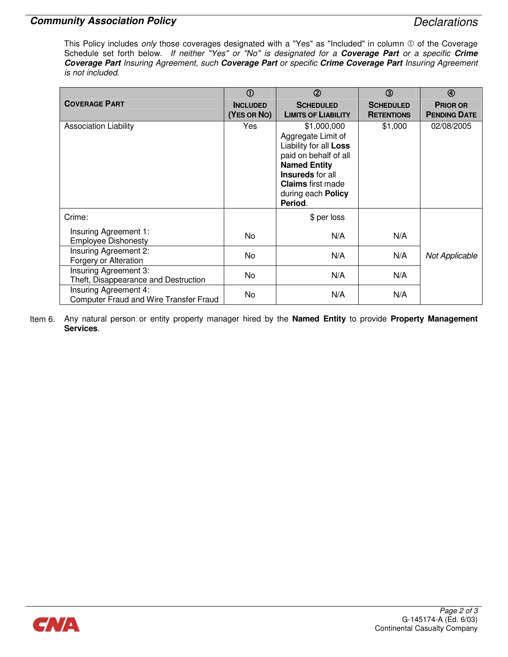### Community Association Policy **Declarations** Declarations

This Policy includes only those coverages designated with a "Yes" as "Included" in column  $\Phi$  of the Coverage Schedule set forth below. If neither "Yes" or "No" is designated for a Coverage Part or a specific Crime Coverage Part Insuring Agreement, such Coverage Part or specific Crime Coverage Part Insuring Agreement is not included.

|                                               | $^{\circ}$      | $\circled{2}$                                | $\circledcirc$    | $\circledA$         |
|-----------------------------------------------|-----------------|----------------------------------------------|-------------------|---------------------|
| <b>COVERAGE PART</b>                          | <b>INCLUDED</b> | <b>SCHEDULED</b>                             | <b>SCHEDULED</b>  | <b>PRIOR OR</b>     |
|                                               | (YES OR NO)     | <b>LIMITS OF LIABILITY</b>                   | <b>RETENTIONS</b> | <b>PENDING DATE</b> |
| <b>Association Liability</b>                  | Yes             | \$1,000,000                                  | \$1,000           | 02/08/2005          |
|                                               |                 | Aggregate Limit of<br>Liability for all Loss |                   |                     |
|                                               |                 | paid on behalf of all                        |                   |                     |
|                                               |                 | <b>Named Entity</b>                          |                   |                     |
|                                               |                 | <b>Insureds</b> for all                      |                   |                     |
|                                               |                 | <b>Claims</b> first made                     |                   |                     |
|                                               |                 | during each <b>Policy</b><br>Period.         |                   |                     |
| Crime:                                        |                 | \$ per loss                                  |                   |                     |
| Insuring Agreement 1:                         | No              | N/A                                          | N/A               |                     |
| <b>Employee Dishonesty</b>                    |                 |                                              |                   |                     |
| Insuring Agreement 2:                         | No.             | N/A                                          | N/A               | Not Applicable      |
| Forgery or Alteration                         |                 |                                              |                   |                     |
| Insuring Agreement 3:                         | No              | N/A                                          | N/A               |                     |
| Theft, Disappearance and Destruction          |                 |                                              |                   |                     |
| Insuring Agreement 4:                         | No              | N/A                                          | N/A               |                     |
| <b>Computer Fraud and Wire Transfer Fraud</b> |                 |                                              |                   |                     |

Item 6. Any natural person or entity property manager hired by the Named Entity to provide Property Management Services.

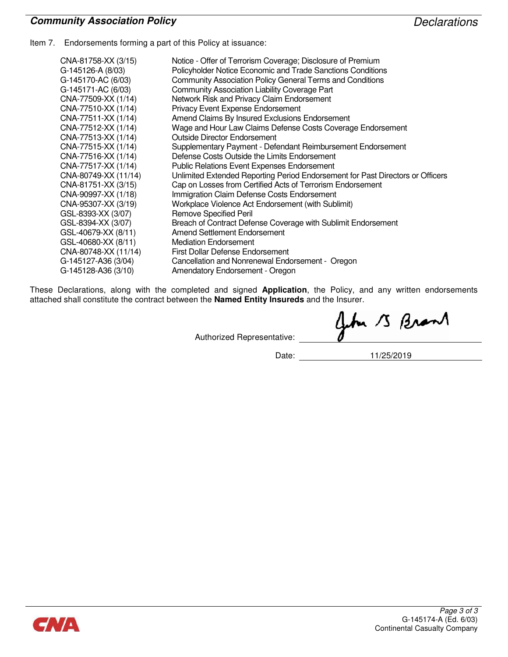### Community Association Policy **Declarations** Declarations

Item 7. Endorsements forming a part of this Policy at issuance:

| CNA-81758-XX (3/15)  | Notice - Offer of Terrorism Coverage; Disclosure of Premium                    |
|----------------------|--------------------------------------------------------------------------------|
| G-145126-A (8/03)    | Policyholder Notice Economic and Trade Sanctions Conditions                    |
| G-145170-AC (6/03)   | Community Association Policy General Terms and Conditions                      |
| G-145171-AC (6/03)   | Community Association Liability Coverage Part                                  |
| CNA-77509-XX (1/14)  | Network Risk and Privacy Claim Endorsement                                     |
| CNA-77510-XX (1/14)  | <b>Privacy Event Expense Endorsement</b>                                       |
| CNA-77511-XX (1/14)  | Amend Claims By Insured Exclusions Endorsement                                 |
| CNA-77512-XX (1/14)  | Wage and Hour Law Claims Defense Costs Coverage Endorsement                    |
| CNA-77513-XX (1/14)  | Outside Director Endorsement                                                   |
| CNA-77515-XX (1/14)  | Supplementary Payment - Defendant Reimbursement Endorsement                    |
| CNA-77516-XX (1/14)  | Defense Costs Outside the Limits Endorsement                                   |
| CNA-77517-XX (1/14)  | <b>Public Relations Event Expenses Endorsement</b>                             |
| CNA-80749-XX (11/14) | Unlimited Extended Reporting Period Endorsement for Past Directors or Officers |
| CNA-81751-XX (3/15)  | Cap on Losses from Certified Acts of Terrorism Endorsement                     |
| CNA-90997-XX (1/18)  | Immigration Claim Defense Costs Endorsement                                    |
| CNA-95307-XX (3/19)  | Workplace Violence Act Endorsement (with Sublimit)                             |
| GSL-8393-XX (3/07)   | <b>Remove Specified Peril</b>                                                  |
| GSL-8394-XX (3/07)   | Breach of Contract Defense Coverage with Sublimit Endorsement                  |
| GSL-40679-XX (8/11)  | Amend Settlement Endorsement                                                   |
| GSL-40680-XX (8/11)  | <b>Mediation Endorsement</b>                                                   |
| CNA-80748-XX (11/14) | <b>First Dollar Defense Endorsement</b>                                        |
| G-145127-A36 (3/04)  | Cancellation and Nonrenewal Endorsement - Oregon                               |
| G-145128-A36 (3/10)  | Amendatory Endorsement - Oregon                                                |

These Declarations, along with the completed and signed Application, the Policy, and any written endorsements attached shall constitute the contract between the Named Entity Insureds and the Insurer.

Authorized Representative:

Date: 11/25/2019

John 13 Brant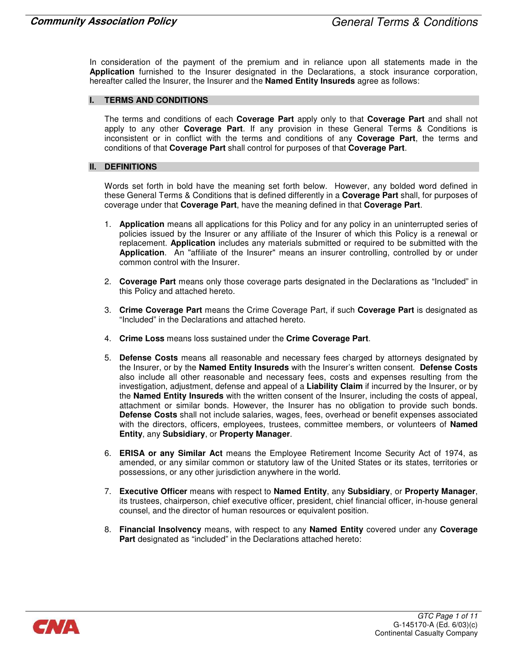In consideration of the payment of the premium and in reliance upon all statements made in the Application furnished to the Insurer designated in the Declarations, a stock insurance corporation, hereafter called the Insurer, the Insurer and the **Named Entity Insureds** agree as follows:

#### I. TERMS AND CONDITIONS

The terms and conditions of each Coverage Part apply only to that Coverage Part and shall not apply to any other Coverage Part. If any provision in these General Terms & Conditions is inconsistent or in conflict with the terms and conditions of any **Coverage Part**, the terms and conditions of that Coverage Part shall control for purposes of that Coverage Part.

#### II. DEFINITIONS

Words set forth in bold have the meaning set forth below. However, any bolded word defined in these General Terms & Conditions that is defined differently in a Coverage Part shall, for purposes of coverage under that Coverage Part, have the meaning defined in that Coverage Part.

- 1. **Application** means all applications for this Policy and for any policy in an uninterrupted series of policies issued by the Insurer or any affiliate of the Insurer of which this Policy is a renewal or replacement. Application includes any materials submitted or required to be submitted with the Application. An "affiliate of the Insurer" means an insurer controlling, controlled by or under common control with the Insurer.
- 2. Coverage Part means only those coverage parts designated in the Declarations as "Included" in this Policy and attached hereto.
- 3. Crime Coverage Part means the Crime Coverage Part, if such Coverage Part is designated as "Included" in the Declarations and attached hereto.
- 4. Crime Loss means loss sustained under the Crime Coverage Part.
- 5. Defense Costs means all reasonable and necessary fees charged by attorneys designated by the Insurer, or by the Named Entity Insureds with the Insurer's written consent. Defense Costs also include all other reasonable and necessary fees, costs and expenses resulting from the investigation, adjustment, defense and appeal of a Liability Claim if incurred by the Insurer, or by the Named Entity Insureds with the written consent of the Insurer, including the costs of appeal, attachment or similar bonds. However, the Insurer has no obligation to provide such bonds. Defense Costs shall not include salaries, wages, fees, overhead or benefit expenses associated with the directors, officers, employees, trustees, committee members, or volunteers of **Named** Entity, any Subsidiary, or Property Manager.
- 6. ERISA or any Similar Act means the Employee Retirement Income Security Act of 1974, as amended, or any similar common or statutory law of the United States or its states, territories or possessions, or any other jurisdiction anywhere in the world.
- 7. Executive Officer means with respect to Named Entity, any Subsidiary, or Property Manager, its trustees, chairperson, chief executive officer, president, chief financial officer, in-house general counsel, and the director of human resources or equivalent position.
- 8. Financial Insolvency means, with respect to any Named Entity covered under any Coverage Part designated as "included" in the Declarations attached hereto:

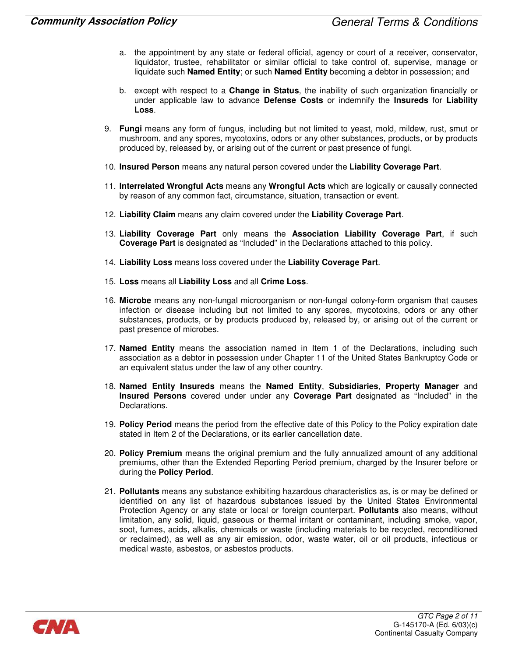- a. the appointment by any state or federal official, agency or court of a receiver, conservator, liquidator, trustee, rehabilitator or similar official to take control of, supervise, manage or liquidate such **Named Entity**; or such **Named Entity** becoming a debtor in possession; and
- b. except with respect to a **Change in Status**, the inability of such organization financially or under applicable law to advance Defense Costs or indemnify the Insureds for Liability Loss.
- 9. Fungi means any form of fungus, including but not limited to yeast, mold, mildew, rust, smut or mushroom, and any spores, mycotoxins, odors or any other substances, products, or by products produced by, released by, or arising out of the current or past presence of fungi.
- 10. Insured Person means any natural person covered under the Liability Coverage Part.
- 11. Interrelated Wrongful Acts means any Wrongful Acts which are logically or causally connected by reason of any common fact, circumstance, situation, transaction or event.
- 12. Liability Claim means any claim covered under the Liability Coverage Part.
- 13. Liability Coverage Part only means the Association Liability Coverage Part, if such Coverage Part is designated as "Included" in the Declarations attached to this policy.
- 14. Liability Loss means loss covered under the Liability Coverage Part.
- 15. Loss means all Liability Loss and all Crime Loss.
- 16. Microbe means any non-fungal microorganism or non-fungal colony-form organism that causes infection or disease including but not limited to any spores, mycotoxins, odors or any other substances, products, or by products produced by, released by, or arising out of the current or past presence of microbes.
- 17. **Named Entity** means the association named in Item 1 of the Declarations, including such association as a debtor in possession under Chapter 11 of the United States Bankruptcy Code or an equivalent status under the law of any other country.
- 18. Named Entity Insureds means the Named Entity, Subsidiaries, Property Manager and Insured Persons covered under under any Coverage Part designated as "Included" in the Declarations.
- 19. Policy Period means the period from the effective date of this Policy to the Policy expiration date stated in Item 2 of the Declarations, or its earlier cancellation date.
- 20. Policy Premium means the original premium and the fully annualized amount of any additional premiums, other than the Extended Reporting Period premium, charged by the Insurer before or during the Policy Period.
- 21. Pollutants means any substance exhibiting hazardous characteristics as, is or may be defined or identified on any list of hazardous substances issued by the United States Environmental Protection Agency or any state or local or foreign counterpart. Pollutants also means, without limitation, any solid, liquid, gaseous or thermal irritant or contaminant, including smoke, vapor, soot, fumes, acids, alkalis, chemicals or waste (including materials to be recycled, reconditioned or reclaimed), as well as any air emission, odor, waste water, oil or oil products, infectious or medical waste, asbestos, or asbestos products.

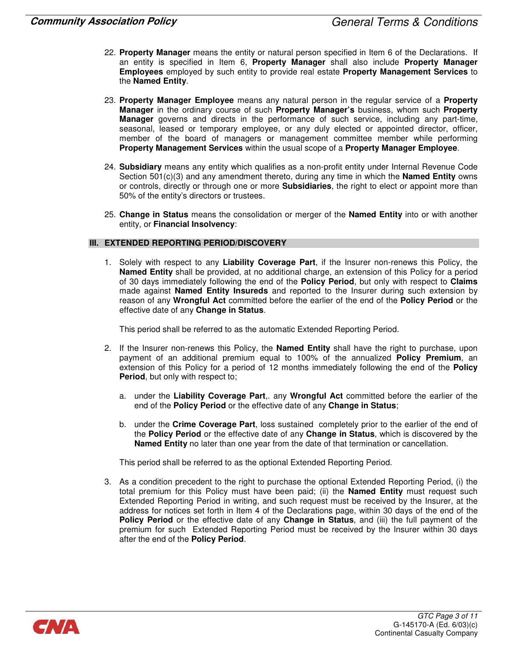- 22. Property Manager means the entity or natural person specified in Item 6 of the Declarations. If an entity is specified in Item 6, Property Manager shall also include Property Manager Employees employed by such entity to provide real estate Property Management Services to the Named Entity.
- 23. Property Manager Employee means any natural person in the regular service of a Property Manager in the ordinary course of such Property Manager's business, whom such Property Manager governs and directs in the performance of such service, including any part-time, seasonal, leased or temporary employee, or any duly elected or appointed director, officer, member of the board of managers or management committee member while performing Property Management Services within the usual scope of a Property Manager Employee.
- 24. Subsidiary means any entity which qualifies as a non-profit entity under Internal Revenue Code Section  $501(c)(3)$  and any amendment thereto, during any time in which the **Named Entity** owns or controls, directly or through one or more **Subsidiaries**, the right to elect or appoint more than 50% of the entity's directors or trustees.
- 25. Change in Status means the consolidation or merger of the Named Entity into or with another entity, or Financial Insolvency:

#### III. EXTENDED REPORTING PERIOD/DISCOVERY

1. Solely with respect to any Liability Coverage Part, if the Insurer non-renews this Policy, the Named Entity shall be provided, at no additional charge, an extension of this Policy for a period of 30 days immediately following the end of the Policy Period, but only with respect to Claims made against **Named Entity Insureds** and reported to the Insurer during such extension by reason of any Wrongful Act committed before the earlier of the end of the Policy Period or the effective date of any Change in Status.

This period shall be referred to as the automatic Extended Reporting Period.

- 2. If the Insurer non-renews this Policy, the **Named Entity** shall have the right to purchase, upon payment of an additional premium equal to 100% of the annualized Policy Premium, an extension of this Policy for a period of 12 months immediately following the end of the **Policy** Period, but only with respect to;
	- a. under the Liability Coverage Part,. any Wrongful Act committed before the earlier of the end of the Policy Period or the effective date of any Change in Status;
	- b. under the Crime Coverage Part, loss sustained completely prior to the earlier of the end of the Policy Period or the effective date of any Change in Status, which is discovered by the Named Entity no later than one year from the date of that termination or cancellation.

This period shall be referred to as the optional Extended Reporting Period.

3. As a condition precedent to the right to purchase the optional Extended Reporting Period, (i) the total premium for this Policy must have been paid; (ii) the **Named Entity** must request such Extended Reporting Period in writing, and such request must be received by the Insurer, at the address for notices set forth in Item 4 of the Declarations page, within 30 days of the end of the Policy Period or the effective date of any Change in Status, and (iii) the full payment of the premium for such Extended Reporting Period must be received by the Insurer within 30 days after the end of the Policy Period.

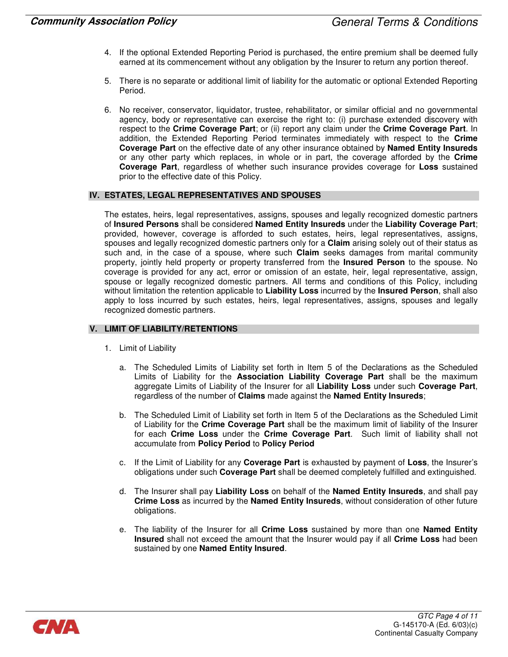- 4. If the optional Extended Reporting Period is purchased, the entire premium shall be deemed fully earned at its commencement without any obligation by the Insurer to return any portion thereof.
- 5. There is no separate or additional limit of liability for the automatic or optional Extended Reporting Period.
- 6. No receiver, conservator, liquidator, trustee, rehabilitator, or similar official and no governmental agency, body or representative can exercise the right to: (i) purchase extended discovery with respect to the Crime Coverage Part; or (ii) report any claim under the Crime Coverage Part. In addition, the Extended Reporting Period terminates immediately with respect to the Crime Coverage Part on the effective date of any other insurance obtained by Named Entity Insureds or any other party which replaces, in whole or in part, the coverage afforded by the Crime Coverage Part, regardless of whether such insurance provides coverage for Loss sustained prior to the effective date of this Policy.

#### IV. ESTATES, LEGAL REPRESENTATIVES AND SPOUSES

The estates, heirs, legal representatives, assigns, spouses and legally recognized domestic partners of Insured Persons shall be considered Named Entity Insureds under the Liability Coverage Part; provided, however, coverage is afforded to such estates, heirs, legal representatives, assigns, spouses and legally recognized domestic partners only for a **Claim** arising solely out of their status as such and, in the case of a spouse, where such **Claim** seeks damages from marital community property, jointly held property or property transferred from the Insured Person to the spouse. No coverage is provided for any act, error or omission of an estate, heir, legal representative, assign, spouse or legally recognized domestic partners. All terms and conditions of this Policy, including without limitation the retention applicable to Liability Loss incurred by the Insured Person, shall also apply to loss incurred by such estates, heirs, legal representatives, assigns, spouses and legally recognized domestic partners.

#### V. LIMIT OF LIABILITY/RETENTIONS

- 1. Limit of Liability
	- a. The Scheduled Limits of Liability set forth in Item 5 of the Declarations as the Scheduled Limits of Liability for the **Association Liability Coverage Part** shall be the maximum aggregate Limits of Liability of the Insurer for all Liability Loss under such Coverage Part, regardless of the number of Claims made against the Named Entity Insureds;
	- b. The Scheduled Limit of Liability set forth in Item 5 of the Declarations as the Scheduled Limit of Liability for the Crime Coverage Part shall be the maximum limit of liability of the Insurer for each Crime Loss under the Crime Coverage Part. Such limit of liability shall not accumulate from Policy Period to Policy Period
	- c. If the Limit of Liability for any Coverage Part is exhausted by payment of Loss, the Insurer's obligations under such Coverage Part shall be deemed completely fulfilled and extinguished.
	- d. The Insurer shall pay Liability Loss on behalf of the Named Entity Insureds, and shall pay Crime Loss as incurred by the Named Entity Insureds, without consideration of other future obligations.
	- e. The liability of the Insurer for all Crime Loss sustained by more than one Named Entity Insured shall not exceed the amount that the Insurer would pay if all Crime Loss had been sustained by one **Named Entity Insured.**

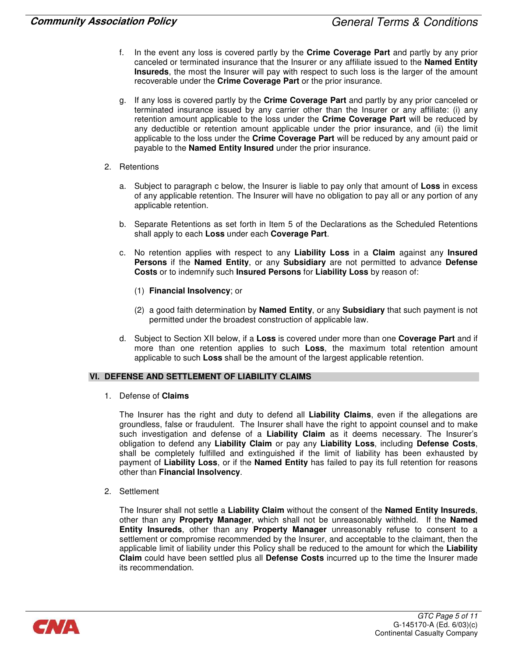- In the event any loss is covered partly by the Crime Coverage Part and partly by any prior canceled or terminated insurance that the Insurer or any affiliate issued to the Named Entity Insureds, the most the Insurer will pay with respect to such loss is the larger of the amount recoverable under the Crime Coverage Part or the prior insurance.
- g. If any loss is covered partly by the Crime Coverage Part and partly by any prior canceled or terminated insurance issued by any carrier other than the Insurer or any affiliate: (i) any retention amount applicable to the loss under the Crime Coverage Part will be reduced by any deductible or retention amount applicable under the prior insurance, and (ii) the limit applicable to the loss under the Crime Coverage Part will be reduced by any amount paid or payable to the Named Entity Insured under the prior insurance.
- 2. Retentions
	- a. Subject to paragraph c below, the Insurer is liable to pay only that amount of Loss in excess of any applicable retention. The Insurer will have no obligation to pay all or any portion of any applicable retention.
	- b. Separate Retentions as set forth in Item 5 of the Declarations as the Scheduled Retentions shall apply to each Loss under each Coverage Part.
	- c. No retention applies with respect to any Liability Loss in a Claim against any Insured Persons if the Named Entity, or any Subsidiary are not permitted to advance Defense Costs or to indemnify such Insured Persons for Liability Loss by reason of:
		- (1) Financial Insolvency; or
		- (2) a good faith determination by Named Entity, or any Subsidiary that such payment is not permitted under the broadest construction of applicable law.
	- d. Subject to Section XII below, if a Loss is covered under more than one Coverage Part and if more than one retention applies to such Loss, the maximum total retention amount applicable to such Loss shall be the amount of the largest applicable retention.

#### VI. DEFENSE AND SETTLEMENT OF LIABILITY CLAIMS

1. Defense of Claims

The Insurer has the right and duty to defend all Liability Claims, even if the allegations are groundless, false or fraudulent. The Insurer shall have the right to appoint counsel and to make such investigation and defense of a Liability Claim as it deems necessary. The Insurer's obligation to defend any Liability Claim or pay any Liability Loss, including Defense Costs, shall be completely fulfilled and extinguished if the limit of liability has been exhausted by payment of Liability Loss, or if the Named Entity has failed to pay its full retention for reasons other than Financial Insolvency.

2. Settlement

The Insurer shall not settle a Liability Claim without the consent of the Named Entity Insureds, other than any Property Manager, which shall not be unreasonably withheld. If the Named Entity Insureds, other than any Property Manager unreasonably refuse to consent to a settlement or compromise recommended by the Insurer, and acceptable to the claimant, then the applicable limit of liability under this Policy shall be reduced to the amount for which the Liability Claim could have been settled plus all Defense Costs incurred up to the time the Insurer made its recommendation.

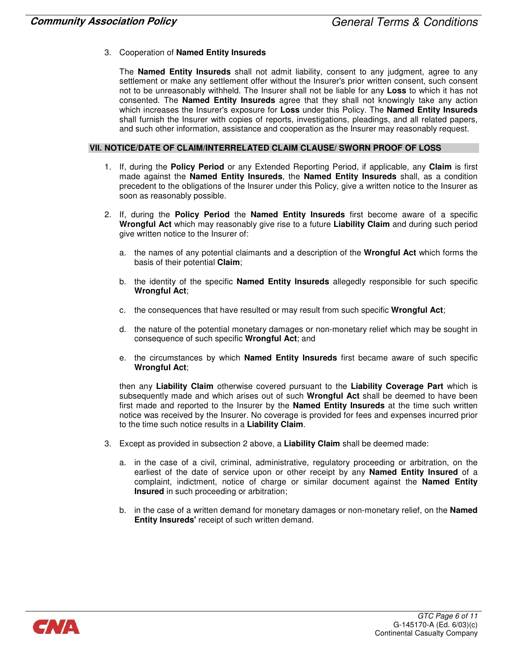#### 3. Cooperation of Named Entity Insureds

The **Named Entity Insureds** shall not admit liability, consent to any judgment, agree to any settlement or make any settlement offer without the Insurer's prior written consent, such consent not to be unreasonably withheld. The Insurer shall not be liable for any Loss to which it has not consented. The Named Entity Insureds agree that they shall not knowingly take any action which increases the Insurer's exposure for Loss under this Policy. The Named Entity Insureds shall furnish the Insurer with copies of reports, investigations, pleadings, and all related papers, and such other information, assistance and cooperation as the Insurer may reasonably request.

#### VII. NOTICE/DATE OF CLAIM/INTERRELATED CLAIM CLAUSE/ SWORN PROOF OF LOSS

- 1. If, during the **Policy Period** or any Extended Reporting Period, if applicable, any **Claim** is first made against the Named Entity Insureds, the Named Entity Insureds shall, as a condition precedent to the obligations of the Insurer under this Policy, give a written notice to the Insurer as soon as reasonably possible.
- 2. If, during the Policy Period the Named Entity Insureds first become aware of a specific Wrongful Act which may reasonably give rise to a future Liability Claim and during such period give written notice to the Insurer of:
	- a. the names of any potential claimants and a description of the Wrongful Act which forms the basis of their potential Claim;
	- b. the identity of the specific **Named Entity Insureds** allegedly responsible for such specific Wrongful Act;
	- c. the consequences that have resulted or may result from such specific Wrongful Act;
	- d. the nature of the potential monetary damages or non-monetary relief which may be sought in consequence of such specific Wrongful Act; and
	- e. the circumstances by which **Named Entity Insureds** first became aware of such specific Wrongful Act;

then any Liability Claim otherwise covered pursuant to the Liability Coverage Part which is subsequently made and which arises out of such Wrongful Act shall be deemed to have been first made and reported to the Insurer by the **Named Entity Insureds** at the time such written notice was received by the Insurer. No coverage is provided for fees and expenses incurred prior to the time such notice results in a Liability Claim.

- 3. Except as provided in subsection 2 above, a Liability Claim shall be deemed made:
	- a. in the case of a civil, criminal, administrative, regulatory proceeding or arbitration, on the earliest of the date of service upon or other receipt by any **Named Entity Insured** of a complaint, indictment, notice of charge or similar document against the **Named Entity** Insured in such proceeding or arbitration;
	- b. in the case of a written demand for monetary damages or non-monetary relief, on the **Named** Entity Insureds' receipt of such written demand.

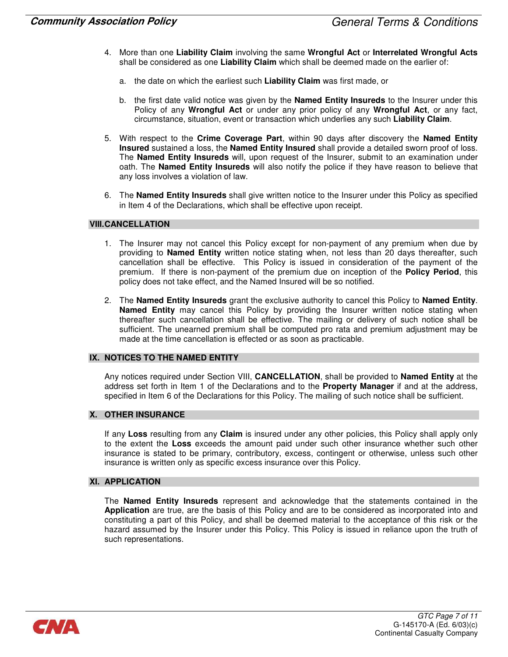- 4. More than one Liability Claim involving the same Wrongful Act or Interrelated Wrongful Acts shall be considered as one Liability Claim which shall be deemed made on the earlier of:
	- a. the date on which the earliest such Liability Claim was first made, or
	- b. the first date valid notice was given by the **Named Entity Insureds** to the Insurer under this Policy of any Wrongful Act or under any prior policy of any Wrongful Act, or any fact, circumstance, situation, event or transaction which underlies any such Liability Claim.
- 5. With respect to the Crime Coverage Part, within 90 days after discovery the Named Entity Insured sustained a loss, the Named Entity Insured shall provide a detailed sworn proof of loss. The **Named Entity Insureds** will, upon request of the Insurer, submit to an examination under oath. The **Named Entity Insureds** will also notify the police if they have reason to believe that any loss involves a violation of law.
- 6. The Named Entity Insureds shall give written notice to the Insurer under this Policy as specified in Item 4 of the Declarations, which shall be effective upon receipt.

#### **VIII.CANCELLATION**

- 1. The Insurer may not cancel this Policy except for non-payment of any premium when due by providing to **Named Entity** written notice stating when, not less than 20 days thereafter, such cancellation shall be effective. This Policy is issued in consideration of the payment of the premium. If there is non-payment of the premium due on inception of the Policy Period, this policy does not take effect, and the Named Insured will be so notified.
- 2. The Named Entity Insureds grant the exclusive authority to cancel this Policy to Named Entity. Named Entity may cancel this Policy by providing the Insurer written notice stating when thereafter such cancellation shall be effective. The mailing or delivery of such notice shall be sufficient. The unearned premium shall be computed pro rata and premium adjustment may be made at the time cancellation is effected or as soon as practicable.

#### IX. NOTICES TO THE NAMED ENTITY

Any notices required under Section VIII, CANCELLATION, shall be provided to Named Entity at the address set forth in Item 1 of the Declarations and to the **Property Manager** if and at the address, specified in Item 6 of the Declarations for this Policy. The mailing of such notice shall be sufficient.

#### X. OTHER INSURANCE

If any Loss resulting from any Claim is insured under any other policies, this Policy shall apply only to the extent the Loss exceeds the amount paid under such other insurance whether such other insurance is stated to be primary, contributory, excess, contingent or otherwise, unless such other insurance is written only as specific excess insurance over this Policy.

#### XI. APPLICATION

The **Named Entity Insureds** represent and acknowledge that the statements contained in the Application are true, are the basis of this Policy and are to be considered as incorporated into and constituting a part of this Policy, and shall be deemed material to the acceptance of this risk or the hazard assumed by the Insurer under this Policy. This Policy is issued in reliance upon the truth of such representations.

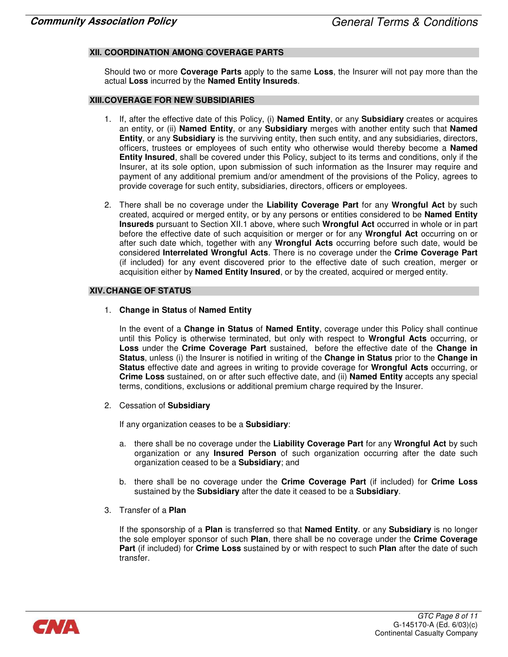#### XII. COORDINATION AMONG COVERAGE PARTS

Should two or more **Coverage Parts** apply to the same Loss, the Insurer will not pay more than the actual Loss incurred by the Named Entity Insureds.

#### XIII. COVERAGE FOR NEW SUBSIDIARIES

- 1. If, after the effective date of this Policy, (i) Named Entity, or any Subsidiary creates or acquires an entity, or (ii) Named Entity, or any Subsidiary merges with another entity such that Named Entity, or any Subsidiary is the surviving entity, then such entity, and any subsidiaries, directors, officers, trustees or employees of such entity who otherwise would thereby become a Named Entity Insured, shall be covered under this Policy, subject to its terms and conditions, only if the Insurer, at its sole option, upon submission of such information as the Insurer may require and payment of any additional premium and/or amendment of the provisions of the Policy, agrees to provide coverage for such entity, subsidiaries, directors, officers or employees.
- 2. There shall be no coverage under the Liability Coverage Part for any Wrongful Act by such created, acquired or merged entity, or by any persons or entities considered to be **Named Entity** Insureds pursuant to Section XII.1 above, where such Wrongful Act occurred in whole or in part before the effective date of such acquisition or merger or for any Wrongful Act occurring on or after such date which, together with any **Wrongful Acts** occurring before such date, would be considered Interrelated Wrongful Acts. There is no coverage under the Crime Coverage Part (if included) for any event discovered prior to the effective date of such creation, merger or acquisition either by **Named Entity Insured**, or by the created, acquired or merged entity.

#### XIV. CHANGE OF STATUS

1. Change in Status of Named Entity

In the event of a Change in Status of Named Entity, coverage under this Policy shall continue until this Policy is otherwise terminated, but only with respect to Wrongful Acts occurring, or Loss under the Crime Coverage Part sustained, before the effective date of the Change in Status, unless (i) the Insurer is notified in writing of the Change in Status prior to the Change in Status effective date and agrees in writing to provide coverage for Wrongful Acts occurring, or Crime Loss sustained, on or after such effective date, and (ii) Named Entity accepts any special terms, conditions, exclusions or additional premium charge required by the Insurer.

2. Cessation of Subsidiary

If any organization ceases to be a **Subsidiary**:

- a. there shall be no coverage under the Liability Coverage Part for any Wrongful Act by such organization or any **Insured Person** of such organization occurring after the date such organization ceased to be a **Subsidiary**; and
- b. there shall be no coverage under the **Crime Coverage Part** (if included) for **Crime Loss** sustained by the Subsidiary after the date it ceased to be a Subsidiary.
- 3. Transfer of a Plan

If the sponsorship of a Plan is transferred so that Named Entity. or any Subsidiary is no longer the sole employer sponsor of such Plan, there shall be no coverage under the Crime Coverage Part (if included) for Crime Loss sustained by or with respect to such Plan after the date of such transfer.

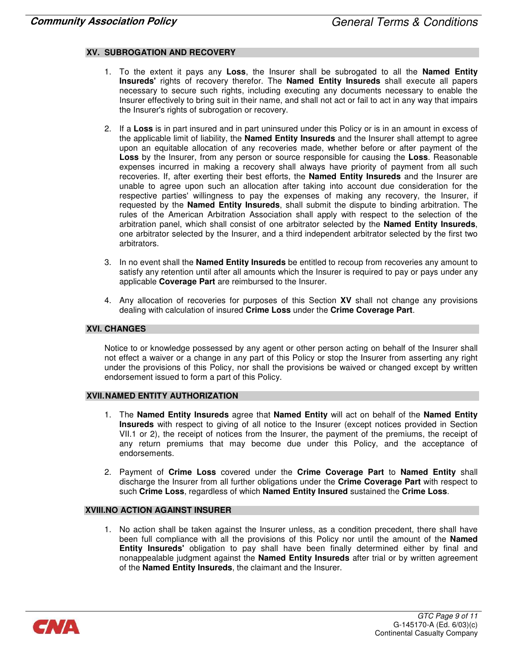#### XV. SUBROGATION AND RECOVERY

- 1. To the extent it pays any Loss, the Insurer shall be subrogated to all the **Named Entity** Insureds' rights of recovery therefor. The Named Entity Insureds shall execute all papers necessary to secure such rights, including executing any documents necessary to enable the Insurer effectively to bring suit in their name, and shall not act or fail to act in any way that impairs the Insurer's rights of subrogation or recovery.
- 2. If a Loss is in part insured and in part uninsured under this Policy or is in an amount in excess of the applicable limit of liability, the **Named Entity Insureds** and the Insurer shall attempt to agree upon an equitable allocation of any recoveries made, whether before or after payment of the Loss by the Insurer, from any person or source responsible for causing the Loss. Reasonable expenses incurred in making a recovery shall always have priority of payment from all such recoveries. If, after exerting their best efforts, the Named Entity Insureds and the Insurer are unable to agree upon such an allocation after taking into account due consideration for the respective parties' willingness to pay the expenses of making any recovery, the Insurer, if requested by the Named Entity Insureds, shall submit the dispute to binding arbitration. The rules of the American Arbitration Association shall apply with respect to the selection of the arbitration panel, which shall consist of one arbitrator selected by the Named Entity Insureds, one arbitrator selected by the Insurer, and a third independent arbitrator selected by the first two arbitrators.
- 3. In no event shall the **Named Entity Insureds** be entitled to recoup from recoveries any amount to satisfy any retention until after all amounts which the Insurer is required to pay or pays under any applicable Coverage Part are reimbursed to the Insurer.
- 4. Any allocation of recoveries for purposes of this Section XV shall not change any provisions dealing with calculation of insured Crime Loss under the Crime Coverage Part.

#### XVI. CHANGES

Notice to or knowledge possessed by any agent or other person acting on behalf of the Insurer shall not effect a waiver or a change in any part of this Policy or stop the Insurer from asserting any right under the provisions of this Policy, nor shall the provisions be waived or changed except by written endorsement issued to form a part of this Policy.

#### XVII. NAMED ENTITY AUTHORIZATION

- 1. The Named Entity Insureds agree that Named Entity will act on behalf of the Named Entity Insureds with respect to giving of all notice to the Insurer (except notices provided in Section VII.1 or 2), the receipt of notices from the Insurer, the payment of the premiums, the receipt of any return premiums that may become due under this Policy, and the acceptance of endorsements.
- 2. Payment of Crime Loss covered under the Crime Coverage Part to Named Entity shall discharge the Insurer from all further obligations under the Crime Coverage Part with respect to such Crime Loss, regardless of which Named Entity Insured sustained the Crime Loss.

#### XVIII.NO ACTION AGAINST INSURER

1. No action shall be taken against the Insurer unless, as a condition precedent, there shall have been full compliance with all the provisions of this Policy nor until the amount of the **Named** Entity Insureds' obligation to pay shall have been finally determined either by final and nonappealable judgment against the **Named Entity Insureds** after trial or by written agreement of the Named Entity Insureds, the claimant and the Insurer.

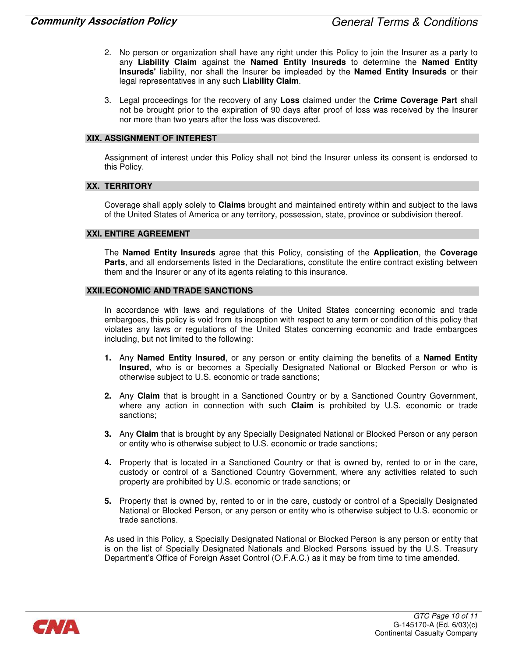- 2. No person or organization shall have any right under this Policy to join the Insurer as a party to any Liability Claim against the Named Entity Insureds to determine the Named Entity Insureds' liability, nor shall the Insurer be impleaded by the Named Entity Insureds or their legal representatives in any such Liability Claim.
- 3. Legal proceedings for the recovery of any Loss claimed under the Crime Coverage Part shall not be brought prior to the expiration of 90 days after proof of loss was received by the Insurer nor more than two years after the loss was discovered.

#### XIX. ASSIGNMENT OF INTEREST

Assignment of interest under this Policy shall not bind the Insurer unless its consent is endorsed to this Policy.

#### XX. TERRITORY

Coverage shall apply solely to Claims brought and maintained entirety within and subject to the laws of the United States of America or any territory, possession, state, province or subdivision thereof.

#### XXI. ENTIRE AGREEMENT

The Named Entity Insureds agree that this Policy, consisting of the Application, the Coverage **Parts**, and all endorsements listed in the Declarations, constitute the entire contract existing between them and the Insurer or any of its agents relating to this insurance.

#### XXII. ECONOMIC AND TRADE SANCTIONS

In accordance with laws and regulations of the United States concerning economic and trade embargoes, this policy is void from its inception with respect to any term or condition of this policy that violates any laws or regulations of the United States concerning economic and trade embargoes including, but not limited to the following:

- 1. Any Named Entity Insured, or any person or entity claiming the benefits of a Named Entity Insured, who is or becomes a Specially Designated National or Blocked Person or who is otherwise subject to U.S. economic or trade sanctions;
- 2. Any Claim that is brought in a Sanctioned Country or by a Sanctioned Country Government, where any action in connection with such Claim is prohibited by U.S. economic or trade sanctions;
- **3.** Any Claim that is brought by any Specially Designated National or Blocked Person or any person or entity who is otherwise subject to U.S. economic or trade sanctions;
- 4. Property that is located in a Sanctioned Country or that is owned by, rented to or in the care, custody or control of a Sanctioned Country Government, where any activities related to such property are prohibited by U.S. economic or trade sanctions; or
- 5. Property that is owned by, rented to or in the care, custody or control of a Specially Designated National or Blocked Person, or any person or entity who is otherwise subject to U.S. economic or trade sanctions.

As used in this Policy, a Specially Designated National or Blocked Person is any person or entity that is on the list of Specially Designated Nationals and Blocked Persons issued by the U.S. Treasury Department's Office of Foreign Asset Control (O.F.A.C.) as it may be from time to time amended.

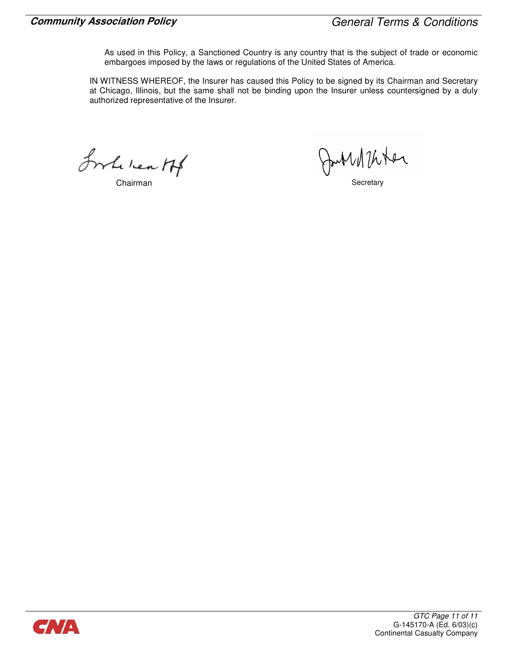As used in this Policy, a Sanctioned Country is any country that is the subject of trade or economic embargoes imposed by the laws or regulations of the United States of America.

IN WITNESS WHEREOF, the Insurer has caused this Policy to be signed by its Chairman and Secretary at Chicago, Illinois, but the same shall not be binding upon the Insurer unless countersigned by a duly authorized representative of the Insurer.

Inhe lear H

Chairman South Martin Secretary

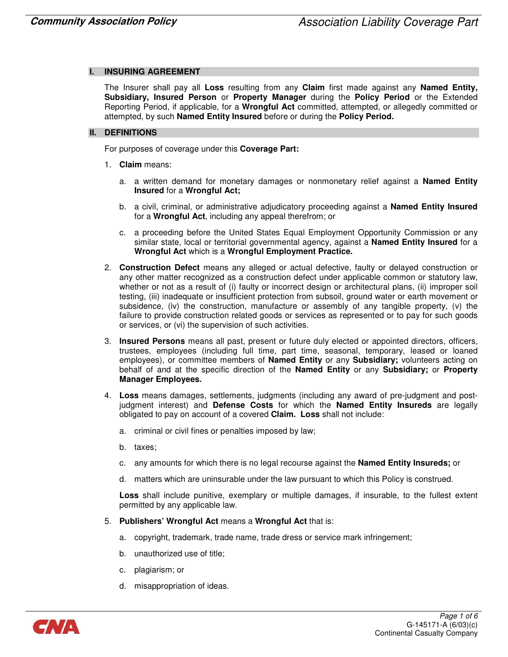#### **INSURING AGREEMENT**

The Insurer shall pay all Loss resulting from any Claim first made against any Named Entity, Subsidiary, Insured Person or Property Manager during the Policy Period or the Extended Reporting Period, if applicable, for a Wrongful Act committed, attempted, or allegedly committed or attempted, by such Named Entity Insured before or during the Policy Period.

#### II. DEFINITIONS

For purposes of coverage under this Coverage Part:

- 1. Claim means:
	- a. a written demand for monetary damages or nonmonetary relief against a **Named Entity** Insured for a Wrongful Act;
	- b. a civil, criminal, or administrative adjudicatory proceeding against a **Named Entity Insured** for a Wrongful Act, including any appeal therefrom; or
	- c. a proceeding before the United States Equal Employment Opportunity Commission or any similar state, local or territorial governmental agency, against a Named Entity Insured for a Wrongful Act which is a Wrongful Employment Practice.
- 2. Construction Defect means any alleged or actual defective, faulty or delayed construction or any other matter recognized as a construction defect under applicable common or statutory law, whether or not as a result of (i) faulty or incorrect design or architectural plans, (ii) improper soil testing, (iii) inadequate or insufficient protection from subsoil, ground water or earth movement or subsidence, (iv) the construction, manufacture or assembly of any tangible property, (v) the failure to provide construction related goods or services as represented or to pay for such goods or services, or (vi) the supervision of such activities.
- 3. Insured Persons means all past, present or future duly elected or appointed directors, officers, trustees, employees (including full time, part time, seasonal, temporary, leased or loaned employees), or committee members of Named Entity or any Subsidiary; volunteers acting on behalf of and at the specific direction of the Named Entity or any Subsidiary; or Property Manager Employees.
- 4. Loss means damages, settlements, judgments (including any award of pre-judgment and postjudgment interest) and Defense Costs for which the Named Entity Insureds are legally obligated to pay on account of a covered Claim. Loss shall not include:
	- a. criminal or civil fines or penalties imposed by law;
	- b. taxes;
	- c. any amounts for which there is no legal recourse against the Named Entity Insureds; or
	- d. matters which are uninsurable under the law pursuant to which this Policy is construed.

Loss shall include punitive, exemplary or multiple damages, if insurable, to the fullest extent permitted by any applicable law.

- 5. Publishers' Wrongful Act means a Wrongful Act that is:
	- a. copyright, trademark, trade name, trade dress or service mark infringement;
	- b. unauthorized use of title;
	- c. plagiarism; or
	- d. misappropriation of ideas.

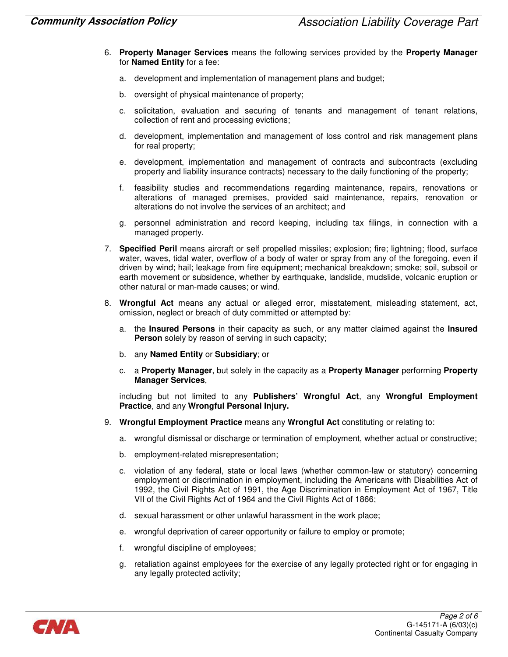- 6. Property Manager Services means the following services provided by the Property Manager for Named Entity for a fee:
	- a. development and implementation of management plans and budget;
	- b. oversight of physical maintenance of property;
	- c. solicitation, evaluation and securing of tenants and management of tenant relations, collection of rent and processing evictions;
	- d. development, implementation and management of loss control and risk management plans for real property;
	- e. development, implementation and management of contracts and subcontracts (excluding property and liability insurance contracts) necessary to the daily functioning of the property;
	- f. feasibility studies and recommendations regarding maintenance, repairs, renovations or alterations of managed premises, provided said maintenance, repairs, renovation or alterations do not involve the services of an architect; and
	- g. personnel administration and record keeping, including tax filings, in connection with a managed property.
- 7. Specified Peril means aircraft or self propelled missiles; explosion; fire; lightning; flood, surface water, waves, tidal water, overflow of a body of water or spray from any of the foregoing, even if driven by wind; hail; leakage from fire equipment; mechanical breakdown; smoke; soil, subsoil or earth movement or subsidence, whether by earthquake, landslide, mudslide, volcanic eruption or other natural or man-made causes; or wind.
- 8. Wrongful Act means any actual or alleged error, misstatement, misleading statement, act, omission, neglect or breach of duty committed or attempted by:
	- a. the Insured Persons in their capacity as such, or any matter claimed against the Insured Person solely by reason of serving in such capacity;
	- b. any Named Entity or Subsidiary; or
	- c. a Property Manager, but solely in the capacity as a Property Manager performing Property Manager Services,

including but not limited to any Publishers' Wrongful Act, any Wrongful Employment Practice, and any Wrongful Personal Injury.

- 9. Wrongful Employment Practice means any Wrongful Act constituting or relating to:
	- a. wrongful dismissal or discharge or termination of employment, whether actual or constructive;
	- b. employment-related misrepresentation;
	- c. violation of any federal, state or local laws (whether common-law or statutory) concerning employment or discrimination in employment, including the Americans with Disabilities Act of 1992, the Civil Rights Act of 1991, the Age Discrimination in Employment Act of 1967, Title VII of the Civil Rights Act of 1964 and the Civil Rights Act of 1866;
	- d. sexual harassment or other unlawful harassment in the work place;
	- e. wrongful deprivation of career opportunity or failure to employ or promote;
	- f. wrongful discipline of employees;
	- g. retaliation against employees for the exercise of any legally protected right or for engaging in any legally protected activity;

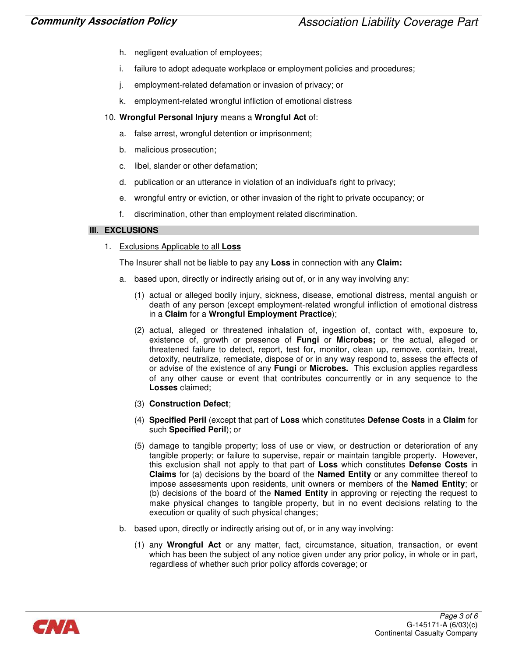- h. negligent evaluation of employees;
- i. failure to adopt adequate workplace or employment policies and procedures;
- j. employment-related defamation or invasion of privacy; or
- k. employment-related wrongful infliction of emotional distress
- 10. Wrongful Personal Injury means a Wrongful Act of:
	- a. false arrest, wrongful detention or imprisonment;
	- b. malicious prosecution;
	- c. libel, slander or other defamation;
	- d. publication or an utterance in violation of an individual's right to privacy;
	- e. wrongful entry or eviction, or other invasion of the right to private occupancy; or
	- discrimination, other than employment related discrimination.

#### III. EXCLUSIONS

1. Exclusions Applicable to all **Loss** 

The Insurer shall not be liable to pay any **Loss** in connection with any **Claim**:

- a. based upon, directly or indirectly arising out of, or in any way involving any:
	- (1) actual or alleged bodily injury, sickness, disease, emotional distress, mental anguish or death of any person (except employment-related wrongful infliction of emotional distress in a Claim for a Wrongful Employment Practice);
	- (2) actual, alleged or threatened inhalation of, ingestion of, contact with, exposure to, existence of, growth or presence of Fungi or Microbes; or the actual, alleged or threatened failure to detect, report, test for, monitor, clean up, remove, contain, treat, detoxify, neutralize, remediate, dispose of or in any way respond to, assess the effects of or advise of the existence of any Fungi or Microbes. This exclusion applies regardless of any other cause or event that contributes concurrently or in any sequence to the Losses claimed;
	- (3) Construction Defect;
	- (4) Specified Peril (except that part of Loss which constitutes Defense Costs in a Claim for such Specified Peril); or
	- (5) damage to tangible property; loss of use or view, or destruction or deterioration of any tangible property; or failure to supervise, repair or maintain tangible property. However, this exclusion shall not apply to that part of Loss which constitutes Defense Costs in Claims for (a) decisions by the board of the Named Entity or any committee thereof to impose assessments upon residents, unit owners or members of the **Named Entity**; or (b) decisions of the board of the **Named Entity** in approving or rejecting the request to make physical changes to tangible property, but in no event decisions relating to the execution or quality of such physical changes;
- b. based upon, directly or indirectly arising out of, or in any way involving:
	- (1) any Wrongful Act or any matter, fact, circumstance, situation, transaction, or event which has been the subject of any notice given under any prior policy, in whole or in part, regardless of whether such prior policy affords coverage; or

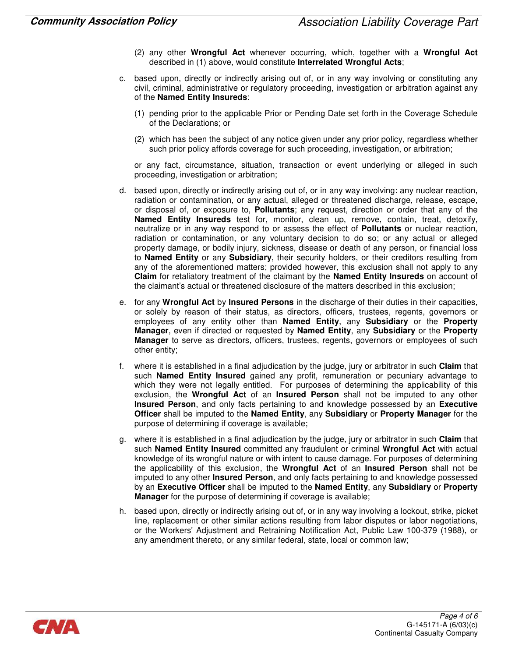- (2) any other Wrongful Act whenever occurring, which, together with a Wrongful Act described in (1) above, would constitute Interrelated Wrongful Acts;
- c. based upon, directly or indirectly arising out of, or in any way involving or constituting any civil, criminal, administrative or regulatory proceeding, investigation or arbitration against any of the Named Entity Insureds:
	- (1) pending prior to the applicable Prior or Pending Date set forth in the Coverage Schedule of the Declarations; or
	- (2) which has been the subject of any notice given under any prior policy, regardless whether such prior policy affords coverage for such proceeding, investigation, or arbitration;

or any fact, circumstance, situation, transaction or event underlying or alleged in such proceeding, investigation or arbitration;

- d. based upon, directly or indirectly arising out of, or in any way involving: any nuclear reaction, radiation or contamination, or any actual, alleged or threatened discharge, release, escape, or disposal of, or exposure to, Pollutants; any request, direction or order that any of the Named Entity Insureds test for, monitor, clean up, remove, contain, treat, detoxify, neutralize or in any way respond to or assess the effect of Pollutants or nuclear reaction, radiation or contamination, or any voluntary decision to do so; or any actual or alleged property damage, or bodily injury, sickness, disease or death of any person, or financial loss to Named Entity or any Subsidiary, their security holders, or their creditors resulting from any of the aforementioned matters; provided however, this exclusion shall not apply to any Claim for retaliatory treatment of the claimant by the Named Entity Insureds on account of the claimant's actual or threatened disclosure of the matters described in this exclusion;
- e. for any Wrongful Act by Insured Persons in the discharge of their duties in their capacities, or solely by reason of their status, as directors, officers, trustees, regents, governors or employees of any entity other than Named Entity, any Subsidiary or the Property Manager, even if directed or requested by Named Entity, any Subsidiary or the Property Manager to serve as directors, officers, trustees, regents, governors or employees of such other entity;
- f. where it is established in a final adjudication by the judge, jury or arbitrator in such Claim that such **Named Entity Insured** gained any profit, remuneration or pecuniary advantage to which they were not legally entitled. For purposes of determining the applicability of this exclusion, the Wrongful Act of an Insured Person shall not be imputed to any other Insured Person, and only facts pertaining to and knowledge possessed by an Executive Officer shall be imputed to the Named Entity, any Subsidiary or Property Manager for the purpose of determining if coverage is available;
- g. where it is established in a final adjudication by the judge, jury or arbitrator in such Claim that such Named Entity Insured committed any fraudulent or criminal Wrongful Act with actual knowledge of its wrongful nature or with intent to cause damage. For purposes of determining the applicability of this exclusion, the Wrongful Act of an Insured Person shall not be imputed to any other Insured Person, and only facts pertaining to and knowledge possessed by an Executive Officer shall be imputed to the Named Entity, any Subsidiary or Property Manager for the purpose of determining if coverage is available;
- h. based upon, directly or indirectly arising out of, or in any way involving a lockout, strike, picket line, replacement or other similar actions resulting from labor disputes or labor negotiations, or the Workers' Adjustment and Retraining Notification Act, Public Law 100-379 (1988), or any amendment thereto, or any similar federal, state, local or common law;

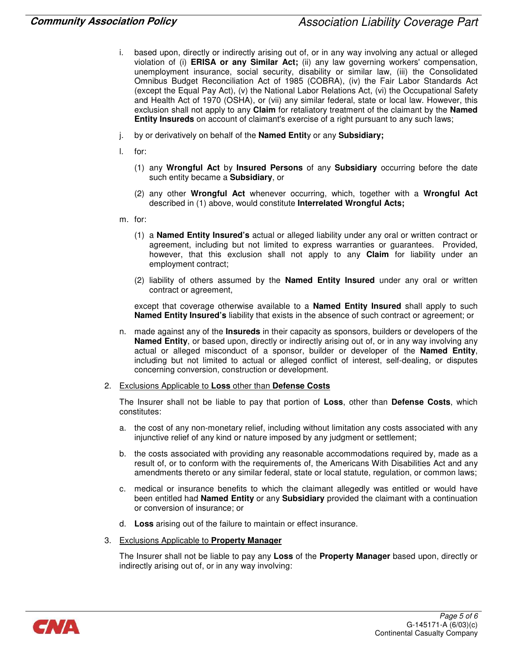- i. based upon, directly or indirectly arising out of, or in any way involving any actual or alleged violation of (i) ERISA or any Similar Act; (ii) any law governing workers' compensation, unemployment insurance, social security, disability or similar law, (iii) the Consolidated Omnibus Budget Reconciliation Act of 1985 (COBRA), (iv) the Fair Labor Standards Act (except the Equal Pay Act), (v) the National Labor Relations Act, (vi) the Occupational Safety and Health Act of 1970 (OSHA), or (vii) any similar federal, state or local law. However, this exclusion shall not apply to any Claim for retaliatory treatment of the claimant by the Named Entity Insureds on account of claimant's exercise of a right pursuant to any such laws;
- j. by or derivatively on behalf of the **Named Entity** or any **Subsidiary;**
- l. for:
	- (1) any Wrongful Act by Insured Persons of any Subsidiary occurring before the date such entity became a Subsidiary, or
	- (2) any other Wrongful Act whenever occurring, which, together with a Wrongful Act described in (1) above, would constitute Interrelated Wrongful Acts;
- m. for:
	- (1) a Named Entity Insured's actual or alleged liability under any oral or written contract or agreement, including but not limited to express warranties or guarantees. Provided, however, that this exclusion shall not apply to any **Claim** for liability under an employment contract;
	- $(2)$  liability of others assumed by the **Named Entity Insured** under any oral or written contract or agreement,

except that coverage otherwise available to a **Named Entity Insured** shall apply to such Named Entity Insured's liability that exists in the absence of such contract or agreement; or

- n. made against any of the **Insureds** in their capacity as sponsors, builders or developers of the Named Entity, or based upon, directly or indirectly arising out of, or in any way involving any actual or alleged misconduct of a sponsor, builder or developer of the Named Entity, including but not limited to actual or alleged conflict of interest, self-dealing, or disputes concerning conversion, construction or development.
- 2. Exclusions Applicable to Loss other than Defense Costs

The Insurer shall not be liable to pay that portion of Loss, other than Defense Costs, which constitutes:

- a. the cost of any non-monetary relief, including without limitation any costs associated with any injunctive relief of any kind or nature imposed by any judgment or settlement;
- b. the costs associated with providing any reasonable accommodations required by, made as a result of, or to conform with the requirements of, the Americans With Disabilities Act and any amendments thereto or any similar federal, state or local statute, regulation, or common laws;
- c. medical or insurance benefits to which the claimant allegedly was entitled or would have been entitled had **Named Entity** or any **Subsidiary** provided the claimant with a continuation or conversion of insurance; or
- d. Loss arising out of the failure to maintain or effect insurance.
- 3. Exclusions Applicable to Property Manager

The Insurer shall not be liable to pay any Loss of the Property Manager based upon, directly or indirectly arising out of, or in any way involving:

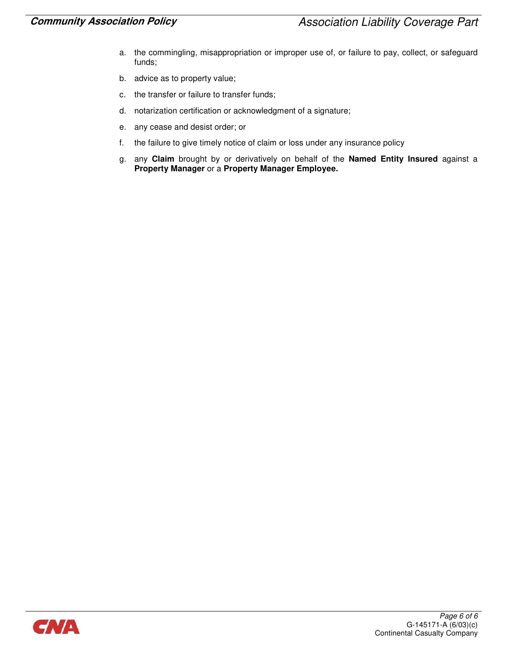- a. the commingling, misappropriation or improper use of, or failure to pay, collect, or safeguard funds;
- b. advice as to property value;
- c. the transfer or failure to transfer funds;
- d. notarization certification or acknowledgment of a signature;
- e. any cease and desist order; or
- f. the failure to give timely notice of claim or loss under any insurance policy
- g. any Claim brought by or derivatively on behalf of the Named Entity Insured against a Property Manager or a Property Manager Employee.

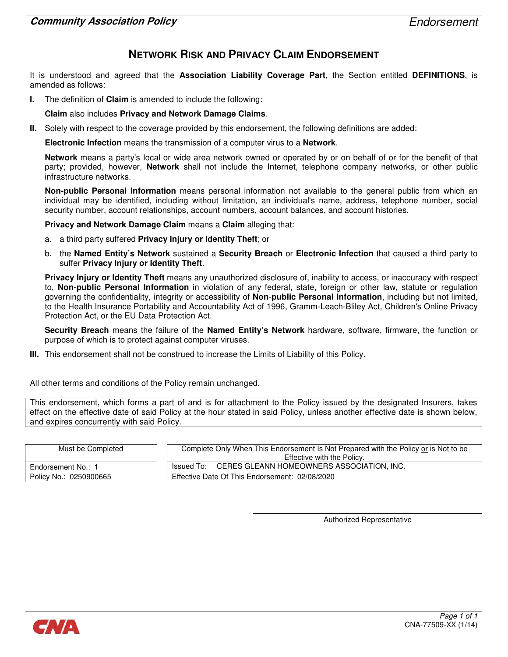### NETWORK RISK AND PRIVACY CLAIM ENDORSEMENT

It is understood and agreed that the Association Liability Coverage Part, the Section entitled DEFINITIONS, is amended as follows:

I. The definition of Claim is amended to include the following:

Claim also includes Privacy and Network Damage Claims.

II. Solely with respect to the coverage provided by this endorsement, the following definitions are added:

Electronic Infection means the transmission of a computer virus to a Network.

Network means a party's local or wide area network owned or operated by or on behalf of or for the benefit of that party; provided, however, **Network** shall not include the Internet, telephone company networks, or other public infrastructure networks.

Non-public Personal Information means personal information not available to the general public from which an individual may be identified, including without limitation, an individual's name, address, telephone number, social security number, account relationships, account numbers, account balances, and account histories.

Privacy and Network Damage Claim means a Claim alleging that:

- a. a third party suffered Privacy Injury or Identity Theft; or
- b. the Named Entity's Network sustained a Security Breach or Electronic Infection that caused a third party to suffer Privacy Injury or Identity Theft.

Privacy Injury or Identity Theft means any unauthorized disclosure of, inability to access, or inaccuracy with respect to, Non-public Personal Information in violation of any federal, state, foreign or other law, statute or regulation governing the confidentiality, integrity or accessibility of Non-public Personal Information, including but not limited, to the Health Insurance Portability and Accountability Act of 1996, Gramm-Leach-Bliley Act, Children's Online Privacy Protection Act, or the EU Data Protection Act.

Security Breach means the failure of the Named Entity's Network hardware, software, firmware, the function or purpose of which is to protect against computer viruses.

III. This endorsement shall not be construed to increase the Limits of Liability of this Policy.

All other terms and conditions of the Policy remain unchanged.

This endorsement, which forms a part of and is for attachment to the Policy issued by the designated Insurers, takes effect on the effective date of said Policy at the hour stated in said Policy, unless another effective date is shown below, and expires concurrently with said Policy.

| Must be Completed      | Complete Only When This Endorsement Is Not Prepared with the Policy or is Not to be |  |  |
|------------------------|-------------------------------------------------------------------------------------|--|--|
|                        | Effective with the Policy.                                                          |  |  |
| Endorsement No.: 1     | Issued To: CERES GLEANN HOMEOWNERS ASSOCIATION, INC.                                |  |  |
| Policy No.: 0250900665 | Effective Date Of This Endorsement: 02/08/2020                                      |  |  |

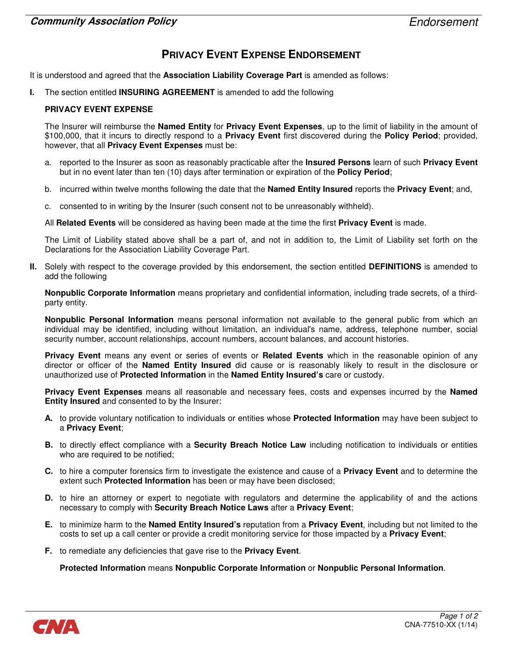# PRIVACY EVENT EXPENSE ENDORSEMENT

It is understood and agreed that the Association Liability Coverage Part is amended as follows:

I. The section entitled **INSURING AGREEMENT** is amended to add the following

#### PRIVACY EVENT EXPENSE

The Insurer will reimburse the **Named Entity** for **Privacy Event Expenses**, up to the limit of liability in the amount of \$100,000, that it incurs to directly respond to a Privacy Event first discovered during the Policy Period; provided, however, that all Privacy Event Expenses must be:

- a. reported to the Insurer as soon as reasonably practicable after the Insured Persons learn of such Privacy Event but in no event later than ten (10) days after termination or expiration of the **Policy Period**;
- b. incurred within twelve months following the date that the **Named Entity Insured** reports the **Privacy Event**; and,
- c. consented to in writing by the Insurer (such consent not to be unreasonably withheld).

All Related Events will be considered as having been made at the time the first Privacy Event is made.

The Limit of Liability stated above shall be a part of, and not in addition to, the Limit of Liability set forth on the Declarations for the Association Liability Coverage Part.

II. Solely with respect to the coverage provided by this endorsement, the section entitled DEFINITIONS is amended to add the following

Nonpublic Corporate Information means proprietary and confidential information, including trade secrets, of a thirdparty entity.

Nonpublic Personal Information means personal information not available to the general public from which an individual may be identified, including without limitation, an individual's name, address, telephone number, social security number, account relationships, account numbers, account balances, and account histories.

Privacy Event means any event or series of events or Related Events which in the reasonable opinion of any director or officer of the **Named Entity Insured** did cause or is reasonably likely to result in the disclosure or unauthorized use of Protected Information in the Named Entity Insured's care or custody.

**Privacy Event Expenses** means all reasonable and necessary fees, costs and expenses incurred by the **Named** Entity Insured and consented to by the Insurer:

- A. to provide voluntary notification to individuals or entities whose **Protected Information** may have been subject to a Privacy Event;
- **B.** to directly effect compliance with a **Security Breach Notice Law** including notification to individuals or entities who are required to be notified;
- C. to hire a computer forensics firm to investigate the existence and cause of a Privacy Event and to determine the extent such Protected Information has been or may have been disclosed;
- D. to hire an attorney or expert to negotiate with regulators and determine the applicability of and the actions necessary to comply with Security Breach Notice Laws after a Privacy Event;
- E. to minimize harm to the Named Entity Insured's reputation from a Privacy Event, including but not limited to the costs to set up a call center or provide a credit monitoring service for those impacted by a **Privacy Event**;
- F. to remediate any deficiencies that gave rise to the **Privacy Event**.

Protected Information means Nonpublic Corporate Information or Nonpublic Personal Information.

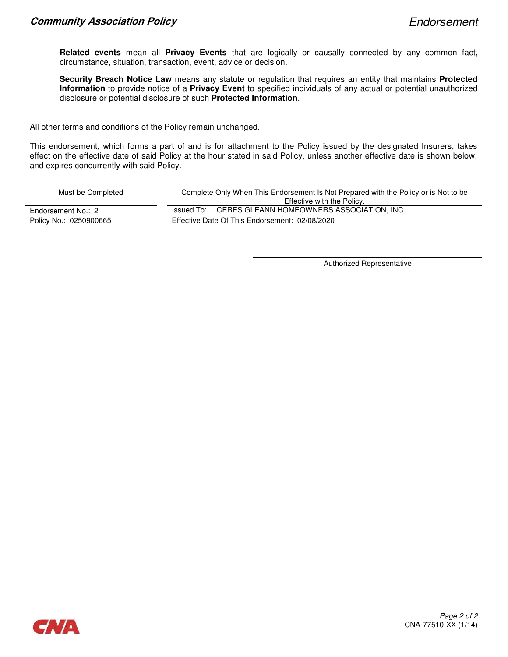Related events mean all Privacy Events that are logically or causally connected by any common fact, circumstance, situation, transaction, event, advice or decision.

Security Breach Notice Law means any statute or regulation that requires an entity that maintains Protected Information to provide notice of a Privacy Event to specified individuals of any actual or potential unauthorized disclosure or potential disclosure of such Protected Information.

All other terms and conditions of the Policy remain unchanged.

This endorsement, which forms a part of and is for attachment to the Policy issued by the designated Insurers, takes effect on the effective date of said Policy at the hour stated in said Policy, unless another effective date is shown below, and expires concurrently with said Policy.

Must be Completed Complete Only When This Endorsement Is Not Prepared with the Policy or is Not to be Effective with the Policy. Endorsement No.: 2 **ISSUED TO: CERES GLEANN HOMEOWNERS ASSOCIATION, INC.** Policy No.: 0250900665 **Effective Date Of This Endorsement: 02/08/2020** 

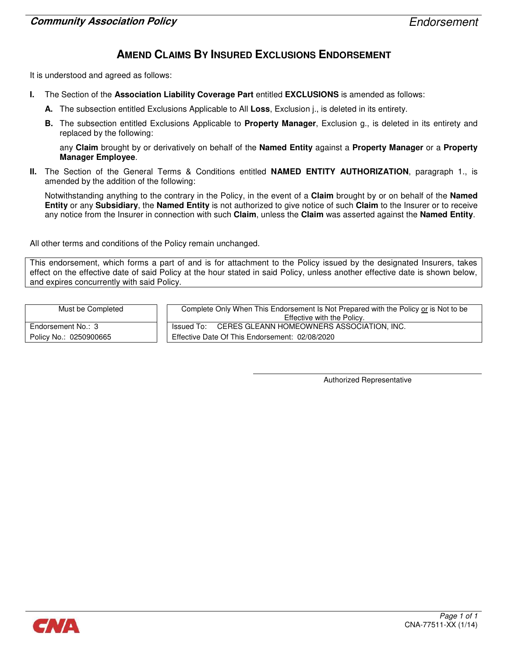### AMEND CLAIMS BY INSURED EXCLUSIONS ENDORSEMENT

It is understood and agreed as follows:

- I. The Section of the Association Liability Coverage Part entitled EXCLUSIONS is amended as follows:
	- A. The subsection entitled Exclusions Applicable to All Loss, Exclusion *i.*, is deleted in its entirety.
	- B. The subsection entitled Exclusions Applicable to Property Manager, Exclusion g., is deleted in its entirety and replaced by the following:

any Claim brought by or derivatively on behalf of the Named Entity against a Property Manager or a Property Manager Employee.

II. The Section of the General Terms & Conditions entitled NAMED ENTITY AUTHORIZATION, paragraph 1., is amended by the addition of the following:

Notwithstanding anything to the contrary in the Policy, in the event of a Claim brought by or on behalf of the Named Entity or any Subsidiary, the Named Entity is not authorized to give notice of such Claim to the Insurer or to receive any notice from the Insurer in connection with such Claim, unless the Claim was asserted against the Named Entity.

All other terms and conditions of the Policy remain unchanged.

This endorsement, which forms a part of and is for attachment to the Policy issued by the designated Insurers, takes effect on the effective date of said Policy at the hour stated in said Policy, unless another effective date is shown below, and expires concurrently with said Policy.

| Must be Completed      | Complete Only When This Endorsement Is Not Prepared with the Policy or is Not to be<br>Effective with the Policy. |
|------------------------|-------------------------------------------------------------------------------------------------------------------|
| Endorsement No.: 3     | Issued To: CERES GLEANN HOMEOWNERS ASSOCIATION, INC.                                                              |
| Policy No.: 0250900665 | Effective Date Of This Endorsement: 02/08/2020                                                                    |

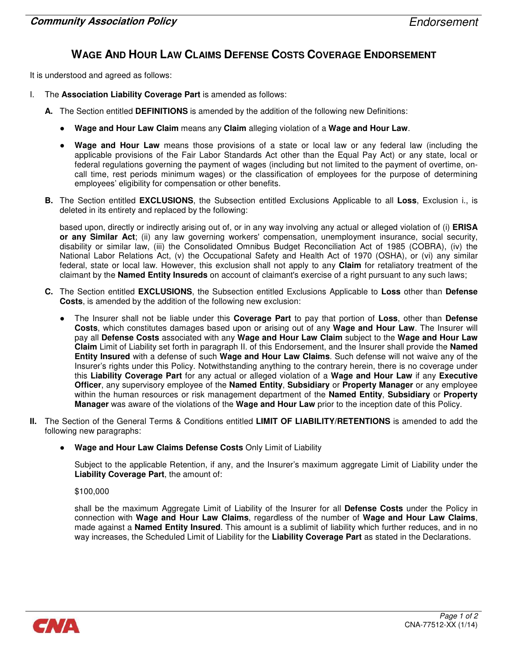# WAGE AND HOUR LAW CLAIMS DEFENSE COSTS COVERAGE ENDORSEMENT

It is understood and agreed as follows:

- I. The Association Liability Coverage Part is amended as follows:
	- A. The Section entitled DEFINITIONS is amended by the addition of the following new Definitions:
		- Wage and Hour Law Claim means any Claim alleging violation of a Wage and Hour Law.
		- Wage and Hour Law means those provisions of a state or local law or any federal law (including the applicable provisions of the Fair Labor Standards Act other than the Equal Pay Act) or any state, local or federal regulations governing the payment of wages (including but not limited to the payment of overtime, oncall time, rest periods minimum wages) or the classification of employees for the purpose of determining employees' eligibility for compensation or other benefits.
	- B. The Section entitled EXCLUSIONS, the Subsection entitled Exclusions Applicable to all Loss, Exclusion i., is deleted in its entirety and replaced by the following:

based upon, directly or indirectly arising out of, or in any way involving any actual or alleged violation of (i) **ERISA** or any Similar Act; (ii) any law governing workers' compensation, unemployment insurance, social security, disability or similar law, (iii) the Consolidated Omnibus Budget Reconciliation Act of 1985 (COBRA), (iv) the National Labor Relations Act, (v) the Occupational Safety and Health Act of 1970 (OSHA), or (vi) any similar federal, state or local law. However, this exclusion shall not apply to any **Claim** for retaliatory treatment of the claimant by the Named Entity Insureds on account of claimant's exercise of a right pursuant to any such laws;

- C. The Section entitled EXCLUSIONS, the Subsection entitled Exclusions Applicable to Loss other than Defense Costs, is amended by the addition of the following new exclusion:
	- The Insurer shall not be liable under this Coverage Part to pay that portion of Loss, other than Defense Costs, which constitutes damages based upon or arising out of any Wage and Hour Law. The Insurer will pay all Defense Costs associated with any Wage and Hour Law Claim subject to the Wage and Hour Law Claim Limit of Liability set forth in paragraph II. of this Endorsement, and the Insurer shall provide the Named Entity Insured with a defense of such Wage and Hour Law Claims. Such defense will not waive any of the Insurer's rights under this Policy. Notwithstanding anything to the contrary herein, there is no coverage under this Liability Coverage Part for any actual or alleged violation of a Wage and Hour Law if any Executive Officer, any supervisory employee of the Named Entity, Subsidiary or Property Manager or any employee within the human resources or risk management department of the Named Entity, Subsidiary or Property Manager was aware of the violations of the Wage and Hour Law prior to the inception date of this Policy.
- II. The Section of the General Terms & Conditions entitled LIMIT OF LIABILITY/RETENTIONS is amended to add the following new paragraphs:
	- Wage and Hour Law Claims Defense Costs Only Limit of Liability

Subject to the applicable Retention, if any, and the Insurer's maximum aggregate Limit of Liability under the Liability Coverage Part, the amount of:

#### \$100,000

shall be the maximum Aggregate Limit of Liability of the Insurer for all Defense Costs under the Policy in connection with Wage and Hour Law Claims, regardless of the number of Wage and Hour Law Claims, made against a **Named Entity Insured**. This amount is a sublimit of liability which further reduces, and in no way increases, the Scheduled Limit of Liability for the Liability Coverage Part as stated in the Declarations.

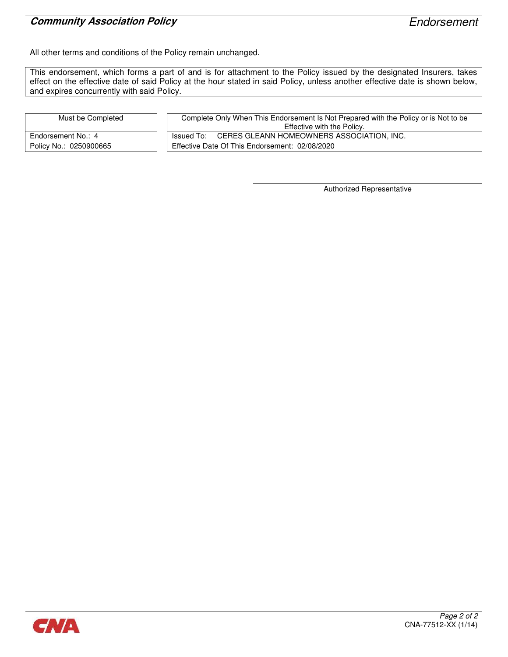### **Community Association Policy Endorsement**

All other terms and conditions of the Policy remain unchanged.

This endorsement, which forms a part of and is for attachment to the Policy issued by the designated Insurers, takes effect on the effective date of said Policy at the hour stated in said Policy, unless another effective date is shown below, and expires concurrently with said Policy.

| Must be Completed      | Complete Only When This Endorsement Is Not Prepared with the Policy or is Not to be<br>Effective with the Policy. |  |
|------------------------|-------------------------------------------------------------------------------------------------------------------|--|
| Endorsement No.: 4     | Issued To: CERES GLEANN HOMEOWNERS ASSOCIATION, INC.                                                              |  |
| Policy No.: 0250900665 | Effective Date Of This Endorsement: 02/08/2020                                                                    |  |

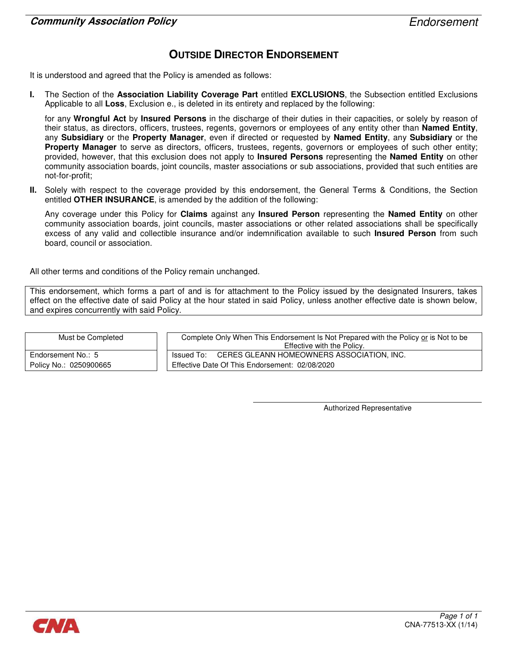# OUTSIDE DIRECTOR ENDORSEMENT

It is understood and agreed that the Policy is amended as follows:

I. The Section of the Association Liability Coverage Part entitled EXCLUSIONS, the Subsection entitled Exclusions Applicable to all Loss, Exclusion e., is deleted in its entirety and replaced by the following:

for any Wrongful Act by Insured Persons in the discharge of their duties in their capacities, or solely by reason of their status, as directors, officers, trustees, regents, governors or employees of any entity other than Named Entity. any Subsidiary or the Property Manager, even if directed or requested by Named Entity, any Subsidiary or the Property Manager to serve as directors, officers, trustees, regents, governors or employees of such other entity; provided, however, that this exclusion does not apply to **Insured Persons** representing the **Named Entity** on other community association boards, joint councils, master associations or sub associations, provided that such entities are not-for-profit;

II. Solely with respect to the coverage provided by this endorsement, the General Terms & Conditions, the Section entitled OTHER INSURANCE, is amended by the addition of the following:

Any coverage under this Policy for Claims against any Insured Person representing the Named Entity on other community association boards, joint councils, master associations or other related associations shall be specifically excess of any valid and collectible insurance and/or indemnification available to such Insured Person from such board, council or association.

All other terms and conditions of the Policy remain unchanged.

This endorsement, which forms a part of and is for attachment to the Policy issued by the designated Insurers, takes effect on the effective date of said Policy at the hour stated in said Policy, unless another effective date is shown below, and expires concurrently with said Policy.

| Must be Completed      | Complete Only When This Endorsement Is Not Prepared with the Policy or is Not to be<br>Effective with the Policy. |  |
|------------------------|-------------------------------------------------------------------------------------------------------------------|--|
| Endorsement No.: 5     | Issued To: CERES GLEANN HOMEOWNERS ASSOCIATION, INC.                                                              |  |
| Policy No.: 0250900665 | Effective Date Of This Endorsement: 02/08/2020                                                                    |  |

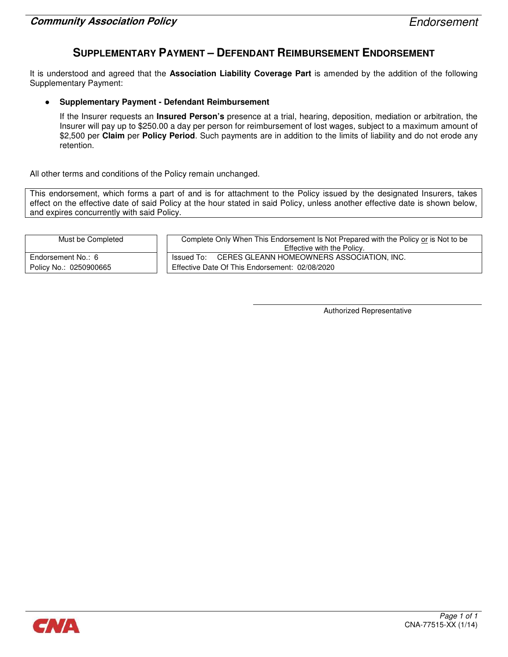### SUPPLEMENTARY PAYMENT – DEFENDANT REIMBURSEMENT ENDORSEMENT

It is understood and agreed that the Association Liability Coverage Part is amended by the addition of the following Supplementary Payment:

#### **Supplementary Payment - Defendant Reimbursement**

If the Insurer requests an Insured Person's presence at a trial, hearing, deposition, mediation or arbitration, the Insurer will pay up to \$250.00 a day per person for reimbursement of lost wages, subject to a maximum amount of \$2,500 per Claim per Policy Period. Such payments are in addition to the limits of liability and do not erode any retention.

All other terms and conditions of the Policy remain unchanged.

This endorsement, which forms a part of and is for attachment to the Policy issued by the designated Insurers, takes effect on the effective date of said Policy at the hour stated in said Policy, unless another effective date is shown below, and expires concurrently with said Policy.

| Must be Completed      | Complete Only When This Endorsement Is Not Prepared with the Policy or is Not to be<br>Effective with the Policy. |
|------------------------|-------------------------------------------------------------------------------------------------------------------|
| Endorsement No.: 6     | Issued To: CERES GLEANN HOMEOWNERS ASSOCIATION, INC.                                                              |
| Policy No.: 0250900665 | Effective Date Of This Endorsement: 02/08/2020                                                                    |

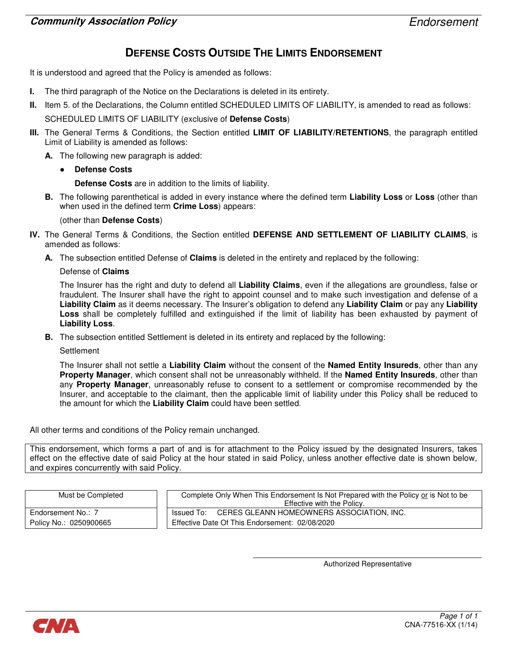# DEFENSE COSTS OUTSIDE THE LIMITS ENDORSEMENT

It is understood and agreed that the Policy is amended as follows:

- I. The third paragraph of the Notice on the Declarations is deleted in its entirety.
- II. Item 5. of the Declarations, the Column entitled SCHEDULED LIMITS OF LIABILITY, is amended to read as follows:

SCHEDULED LIMITS OF LIABILITY (exclusive of Defense Costs)

- III. The General Terms & Conditions, the Section entitled LIMIT OF LIABILITY/RETENTIONS, the paragraph entitled Limit of Liability is amended as follows:
	- A. The following new paragraph is added:
		- **Defense Costs**

Defense Costs are in addition to the limits of liability.

B. The following parenthetical is added in every instance where the defined term Liability Loss or Loss (other than when used in the defined term Crime Loss) appears:

#### (other than Defense Costs)

- IV. The General Terms & Conditions, the Section entitled DEFENSE AND SETTLEMENT OF LIABILITY CLAIMS, is amended as follows:
	- A. The subsection entitled Defense of **Claims** is deleted in the entirety and replaced by the following:

#### Defense of Claims

The Insurer has the right and duty to defend all Liability Claims, even if the allegations are groundless, false or fraudulent. The Insurer shall have the right to appoint counsel and to make such investigation and defense of a Liability Claim as it deems necessary. The Insurer's obligation to defend any Liability Claim or pay any Liability Loss shall be completely fulfilled and extinguished if the limit of liability has been exhausted by payment of Liability Loss.

B. The subsection entitled Settlement is deleted in its entirety and replaced by the following:

#### **Settlement**

The Insurer shall not settle a Liability Claim without the consent of the Named Entity Insureds, other than any Property Manager, which consent shall not be unreasonably withheld. If the Named Entity Insureds, other than any **Property Manager**, unreasonably refuse to consent to a settlement or compromise recommended by the Insurer, and acceptable to the claimant, then the applicable limit of liability under this Policy shall be reduced to the amount for which the Liability Claim could have been settled.

All other terms and conditions of the Policy remain unchanged.

This endorsement, which forms a part of and is for attachment to the Policy issued by the designated Insurers, takes effect on the effective date of said Policy at the hour stated in said Policy, unless another effective date is shown below, and expires concurrently with said Policy.

| Must be Completed      | Complete Only When This Endorsement Is Not Prepared with the Policy or is Not to be<br>Effective with the Policy. |
|------------------------|-------------------------------------------------------------------------------------------------------------------|
| Endorsement No.: 7     | Issued To: CERES GLEANN HOMEOWNERS ASSOCIATION, INC.                                                              |
| Policy No.: 0250900665 | Effective Date Of This Endorsement: 02/08/2020                                                                    |

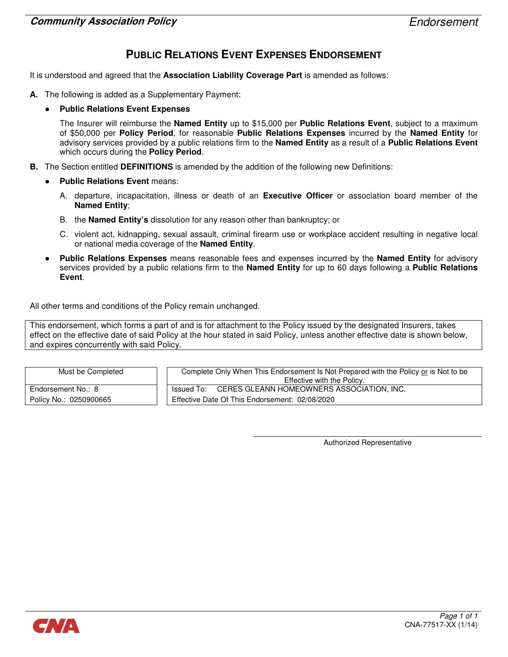# PUBLIC RELATIONS EVENT EXPENSES ENDORSEMENT

It is understood and agreed that the Association Liability Coverage Part is amended as follows:

- A. The following is added as a Supplementary Payment:
	- **Public Relations Event Expenses**

The Insurer will reimburse the Named Entity up to \$15,000 per Public Relations Event, subject to a maximum of \$50,000 per Policy Period, for reasonable Public Relations Expenses incurred by the Named Entity for advisory services provided by a public relations firm to the **Named Entity** as a result of a **Public Relations Event** which occurs during the **Policy Period.** 

- **B.** The Section entitled **DEFINITIONS** is amended by the addition of the following new Definitions:
	- **Public Relations Event means:** 
		- A. departure, incapacitation, illness or death of an Executive Officer or association board member of the Named Entity;
		- B. the Named Entity's dissolution for any reason other than bankruptcy; or
		- C. violent act, kidnapping, sexual assault, criminal firearm use or workplace accident resulting in negative local or national media coverage of the Named Entity.
	- Public Relations Expenses means reasonable fees and expenses incurred by the Named Entity for advisory services provided by a public relations firm to the **Named Entity** for up to 60 days following a **Public Relations Event**

All other terms and conditions of the Policy remain unchanged.

This endorsement, which forms a part of and is for attachment to the Policy issued by the designated Insurers, takes effect on the effective date of said Policy at the hour stated in said Policy, unless another effective date is shown below, and expires concurrently with said Policy.

| Must be Completed      | Complete Only When This Endorsement Is Not Prepared with the Policy or is Not to be<br>Effective with the Policy. |
|------------------------|-------------------------------------------------------------------------------------------------------------------|
| Endorsement No.: 8     | Issued To: CERES GLEANN HOMEOWNERS ASSOCIATION, INC.                                                              |
| Policy No.: 0250900665 | Effective Date Of This Endorsement: 02/08/2020                                                                    |

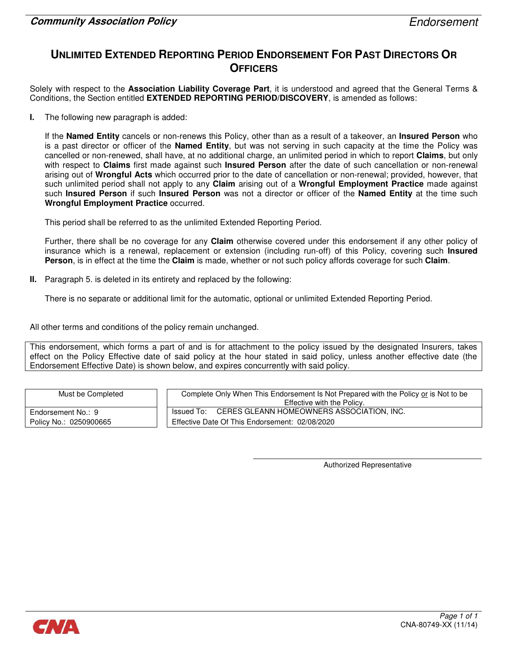# UNLIMITED EXTENDED REPORTING PERIOD ENDORSEMENT FOR PAST DIRECTORS OR **OFFICERS**

Solely with respect to the Association Liability Coverage Part, it is understood and agreed that the General Terms & Conditions, the Section entitled EXTENDED REPORTING PERIOD/DISCOVERY, is amended as follows:

I. The following new paragraph is added:

If the Named Entity cancels or non-renews this Policy, other than as a result of a takeover, an Insured Person who is a past director or officer of the Named Entity, but was not serving in such capacity at the time the Policy was cancelled or non-renewed, shall have, at no additional charge, an unlimited period in which to report Claims, but only with respect to Claims first made against such Insured Person after the date of such cancellation or non-renewal arising out of Wrongful Acts which occurred prior to the date of cancellation or non-renewal; provided, however, that such unlimited period shall not apply to any Claim arising out of a Wrongful Employment Practice made against such Insured Person if such Insured Person was not a director or officer of the Named Entity at the time such Wrongful Employment Practice occurred.

This period shall be referred to as the unlimited Extended Reporting Period.

Further, there shall be no coverage for any Claim otherwise covered under this endorsement if any other policy of insurance which is a renewal, replacement or extension (including run-off) of this Policy, covering such Insured Person, is in effect at the time the Claim is made, whether or not such policy affords coverage for such Claim.

II. Paragraph 5. is deleted in its entirety and replaced by the following:

There is no separate or additional limit for the automatic, optional or unlimited Extended Reporting Period.

All other terms and conditions of the policy remain unchanged.

This endorsement, which forms a part of and is for attachment to the policy issued by the designated Insurers, takes effect on the Policy Effective date of said policy at the hour stated in said policy, unless another effective date (the Endorsement Effective Date) is shown below, and expires concurrently with said policy.

| Must be Completed      | Complete Only When This Endorsement Is Not Prepared with the Policy or is Not to be |
|------------------------|-------------------------------------------------------------------------------------|
|                        | Effective with the Policy.                                                          |
| Endorsement No.: 9     | Issued To: CERES GLEANN HOMEOWNERS ASSOCIATION, INC.                                |
| Policy No.: 0250900665 | Effective Date Of This Endorsement: 02/08/2020                                      |

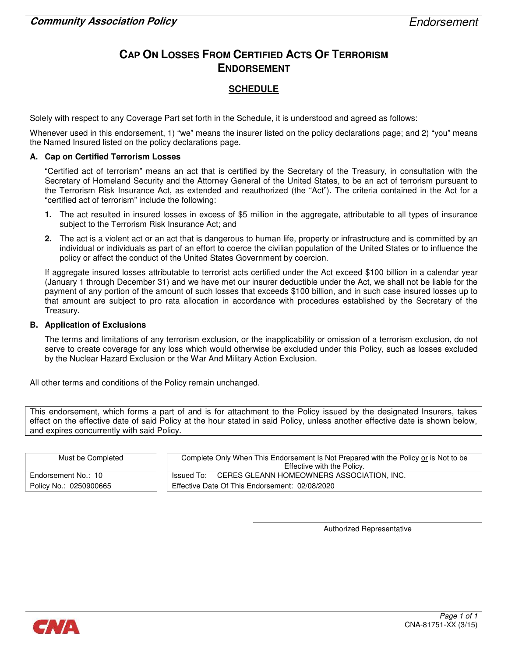# CAP ON LOSSES FROM CERTIFIED ACTS OF TERRORISM ENDORSEMENT

### **SCHEDULE**

Solely with respect to any Coverage Part set forth in the Schedule, it is understood and agreed as follows:

Whenever used in this endorsement, 1) "we" means the insurer listed on the policy declarations page; and 2) "you" means the Named Insured listed on the policy declarations page.

#### A. Cap on Certified Terrorism Losses

"Certified act of terrorism" means an act that is certified by the Secretary of the Treasury, in consultation with the Secretary of Homeland Security and the Attorney General of the United States, to be an act of terrorism pursuant to the Terrorism Risk Insurance Act, as extended and reauthorized (the "Act"). The criteria contained in the Act for a "certified act of terrorism" include the following:

- 1. The act resulted in insured losses in excess of \$5 million in the aggregate, attributable to all types of insurance subject to the Terrorism Risk Insurance Act; and
- 2. The act is a violent act or an act that is dangerous to human life, property or infrastructure and is committed by an individual or individuals as part of an effort to coerce the civilian population of the United States or to influence the policy or affect the conduct of the United States Government by coercion.

If aggregate insured losses attributable to terrorist acts certified under the Act exceed \$100 billion in a calendar year (January 1 through December 31) and we have met our insurer deductible under the Act, we shall not be liable for the payment of any portion of the amount of such losses that exceeds \$100 billion, and in such case insured losses up to that amount are subject to pro rata allocation in accordance with procedures established by the Secretary of the Treasury.

#### B. Application of Exclusions

The terms and limitations of any terrorism exclusion, or the inapplicability or omission of a terrorism exclusion, do not serve to create coverage for any loss which would otherwise be excluded under this Policy, such as losses excluded by the Nuclear Hazard Exclusion or the War And Military Action Exclusion.

All other terms and conditions of the Policy remain unchanged.

This endorsement, which forms a part of and is for attachment to the Policy issued by the designated Insurers, takes effect on the effective date of said Policy at the hour stated in said Policy, unless another effective date is shown below, and expires concurrently with said Policy.

| Must be Completed      | Complete Only When This Endorsement Is Not Prepared with the Policy or is Not to be |
|------------------------|-------------------------------------------------------------------------------------|
|                        | Effective with the Policy.                                                          |
| Endorsement No.: 10    | Issued To: CERES GLEANN HOMEOWNERS ASSOCIATION, INC.                                |
| Policy No.: 0250900665 | Effective Date Of This Endorsement: 02/08/2020                                      |

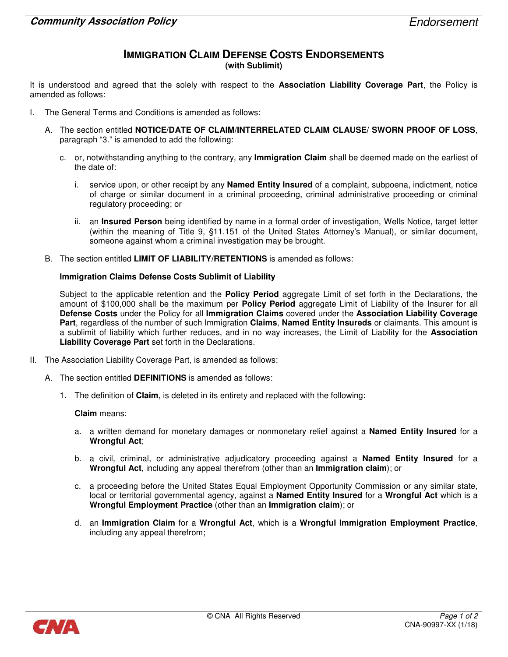#### IMMIGRATION CLAIM DEFENSE COSTS ENDORSEMENTS (with Sublimit)

It is understood and agreed that the solely with respect to the **Association Liability Coverage Part**, the Policy is amended as follows:

- I. The General Terms and Conditions is amended as follows:
	- A. The section entitled NOTICE/DATE OF CLAIM/INTERRELATED CLAIM CLAUSE/ SWORN PROOF OF LOSS, paragraph "3." is amended to add the following:
		- c. or, notwithstanding anything to the contrary, any **Immigration Claim** shall be deemed made on the earliest of the date of:
			- i. service upon, or other receipt by any **Named Entity Insured** of a complaint, subpoena, indictment, notice of charge or similar document in a criminal proceeding, criminal administrative proceeding or criminal regulatory proceeding; or
			- ii. an Insured Person being identified by name in a formal order of investigation, Wells Notice, target letter (within the meaning of Title 9, §11.151 of the United States Attorney's Manual), or similar document, someone against whom a criminal investigation may be brought.
	- B. The section entitled LIMIT OF LIABILITY/RETENTIONS is amended as follows:

#### Immigration Claims Defense Costs Sublimit of Liability

Subject to the applicable retention and the **Policy Period** aggregate Limit of set forth in the Declarations, the amount of \$100,000 shall be the maximum per **Policy Period** aggregate Limit of Liability of the Insurer for all Defense Costs under the Policy for all Immigration Claims covered under the Association Liability Coverage Part, regardless of the number of such Immigration Claims, Named Entity Insureds or claimants. This amount is a sublimit of liability which further reduces, and in no way increases, the Limit of Liability for the Association Liability Coverage Part set forth in the Declarations.

- II. The Association Liability Coverage Part, is amended as follows:
	- A. The section entitled DEFINITIONS is amended as follows:
		- 1. The definition of Claim, is deleted in its entirety and replaced with the following:

Claim means:

- a. a written demand for monetary damages or nonmonetary relief against a **Named Entity Insured** for a Wrongful Act;
- b. a civil, criminal, or administrative adjudicatory proceeding against a **Named Entity Insured** for a Wrongful Act, including any appeal therefrom (other than an Immigration claim); or
- c. a proceeding before the United States Equal Employment Opportunity Commission or any similar state, local or territorial governmental agency, against a Named Entity Insured for a Wrongful Act which is a Wrongful Employment Practice (other than an Immigration claim); or
- d. an Immigration Claim for a Wrongful Act, which is a Wrongful Immigration Employment Practice, including any appeal therefrom;

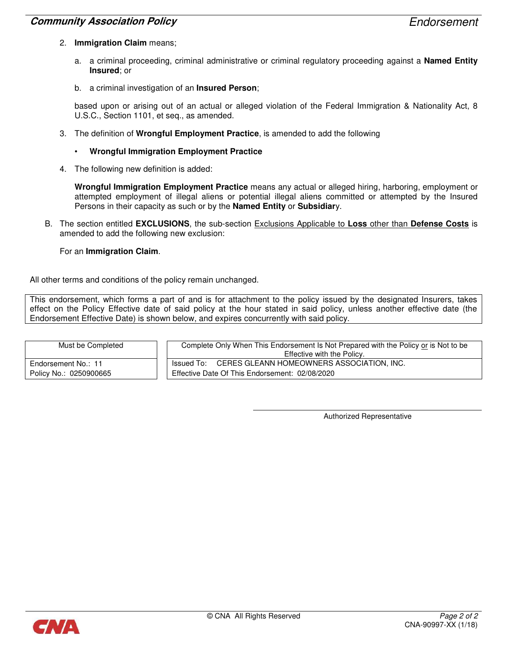#### **Community Association Policy Endorsement Community Association Policy**

- 2. Immigration Claim means;
	- a. a criminal proceeding, criminal administrative or criminal regulatory proceeding against a **Named Entity** Insured; or
	- b. a criminal investigation of an **Insured Person**;

based upon or arising out of an actual or alleged violation of the Federal Immigration & Nationality Act, 8 U.S.C., Section 1101, et seq., as amended.

- 3. The definition of Wrongful Employment Practice, is amended to add the following
	- Wrongful Immigration Employment Practice
- 4. The following new definition is added:

Wrongful Immigration Employment Practice means any actual or alleged hiring, harboring, employment or attempted employment of illegal aliens or potential illegal aliens committed or attempted by the Insured Persons in their capacity as such or by the **Named Entity** or **Subsidiar**y.

B. The section entitled EXCLUSIONS, the sub-section Exclusions Applicable to Loss other than Defense Costs is amended to add the following new exclusion:

#### For an Immigration Claim.

All other terms and conditions of the policy remain unchanged.

This endorsement, which forms a part of and is for attachment to the policy issued by the designated Insurers, takes effect on the Policy Effective date of said policy at the hour stated in said policy, unless another effective date (the Endorsement Effective Date) is shown below, and expires concurrently with said policy.

| Must be Completed      | Complete Only When This Endorsement Is Not Prepared with the Policy or is Not to be |
|------------------------|-------------------------------------------------------------------------------------|
|                        | Effective with the Policy.                                                          |
| Endorsement No.: 11    | Issued To: CERES GLEANN HOMEOWNERS ASSOCIATION, INC.                                |
| Policy No.: 0250900665 | Effective Date Of This Endorsement: 02/08/2020                                      |

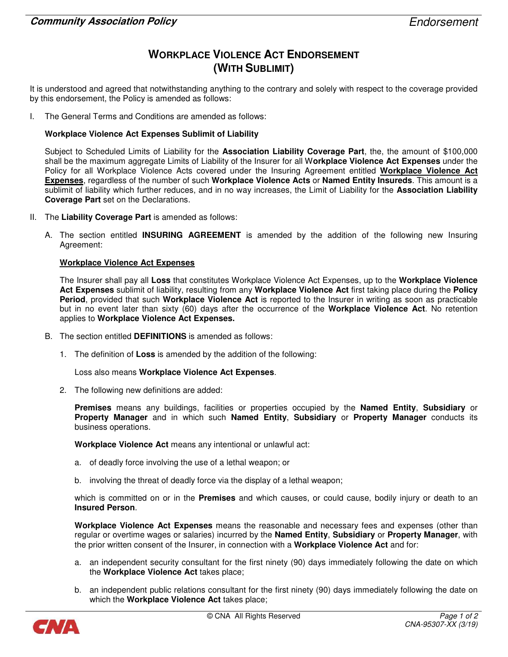# WORKPLACE VIOLENCE ACT ENDORSEMENT (WITH SUBLIMIT)

It is understood and agreed that notwithstanding anything to the contrary and solely with respect to the coverage provided by this endorsement, the Policy is amended as follows:

I. The General Terms and Conditions are amended as follows:

#### Workplace Violence Act Expenses Sublimit of Liability

Subject to Scheduled Limits of Liability for the Association Liability Coverage Part, the, the amount of \$100,000 shall be the maximum aggregate Limits of Liability of the Insurer for all Workplace Violence Act Expenses under the Policy for all Workplace Violence Acts covered under the Insuring Agreement entitled Workplace Violence Act Expenses, regardless of the number of such Workplace Violence Acts or Named Entity Insureds. This amount is a sublimit of liability which further reduces, and in no way increases, the Limit of Liability for the Association Liability Coverage Part set on the Declarations.

- II. The Liability Coverage Part is amended as follows:
	- A. The section entitled INSURING AGREEMENT is amended by the addition of the following new Insuring Agreement:

#### Workplace Violence Act Expenses

The Insurer shall pay all Loss that constitutes Workplace Violence Act Expenses, up to the Workplace Violence Act Expenses sublimit of liability, resulting from any Workplace Violence Act first taking place during the Policy Period, provided that such Workplace Violence Act is reported to the Insurer in writing as soon as practicable but in no event later than sixty (60) days after the occurrence of the Workplace Violence Act. No retention applies to Workplace Violence Act Expenses.

- B. The section entitled DEFINITIONS is amended as follows:
	- 1. The definition of Loss is amended by the addition of the following:

Loss also means Workplace Violence Act Expenses.

2. The following new definitions are added:

Premises means any buildings, facilities or properties occupied by the Named Entity, Subsidiary or Property Manager and in which such Named Entity, Subsidiary or Property Manager conducts its business operations.

Workplace Violence Act means any intentional or unlawful act:

- a. of deadly force involving the use of a lethal weapon; or
- b. involving the threat of deadly force via the display of a lethal weapon;

which is committed on or in the **Premises** and which causes, or could cause, bodily injury or death to an Insured Person.

Workplace Violence Act Expenses means the reasonable and necessary fees and expenses (other than regular or overtime wages or salaries) incurred by the Named Entity, Subsidiary or Property Manager, with the prior written consent of the Insurer, in connection with a Workplace Violence Act and for:

- a. an independent security consultant for the first ninety (90) days immediately following the date on which the Workplace Violence Act takes place;
- b. an independent public relations consultant for the first ninety (90) days immediately following the date on which the Workplace Violence Act takes place;

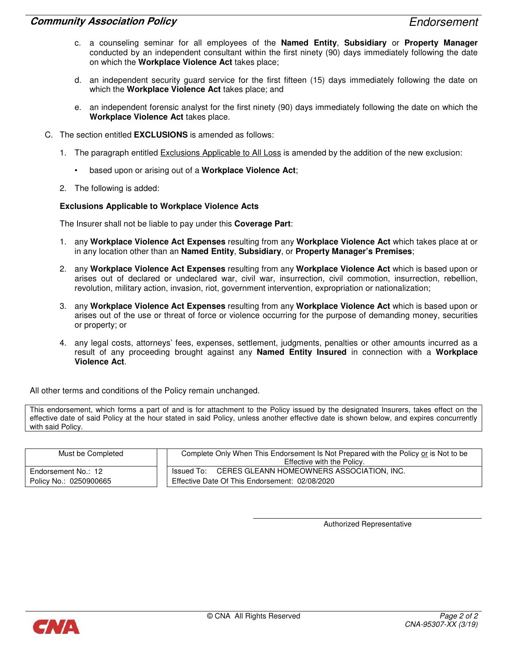- c. a counseling seminar for all employees of the Named Entity, Subsidiary or Property Manager conducted by an independent consultant within the first ninety (90) days immediately following the date on which the Workplace Violence Act takes place;
- d. an independent security guard service for the first fifteen (15) days immediately following the date on which the **Workplace Violence Act** takes place; and
- e. an independent forensic analyst for the first ninety (90) days immediately following the date on which the Workplace Violence Act takes place.
- C. The section entitled EXCLUSIONS is amended as follows:
	- 1. The paragraph entitled Exclusions Applicable to All Loss is amended by the addition of the new exclusion:
		- based upon or arising out of a Workplace Violence Act;
	- 2. The following is added:

#### Exclusions Applicable to Workplace Violence Acts

The Insurer shall not be liable to pay under this Coverage Part:

- 1. any Workplace Violence Act Expenses resulting from any Workplace Violence Act which takes place at or in any location other than an Named Entity, Subsidiary, or Property Manager's Premises;
- 2. any Workplace Violence Act Expenses resulting from any Workplace Violence Act which is based upon or arises out of declared or undeclared war, civil war, insurrection, civil commotion, insurrection, rebellion, revolution, military action, invasion, riot, government intervention, expropriation or nationalization;
- 3. any Workplace Violence Act Expenses resulting from any Workplace Violence Act which is based upon or arises out of the use or threat of force or violence occurring for the purpose of demanding money, securities or property; or
- 4. any legal costs, attorneys' fees, expenses, settlement, judgments, penalties or other amounts incurred as a result of any proceeding brought against any **Named Entity Insured** in connection with a Workplace Violence Act.

All other terms and conditions of the Policy remain unchanged.

This endorsement, which forms a part of and is for attachment to the Policy issued by the designated Insurers, takes effect on the effective date of said Policy at the hour stated in said Policy, unless another effective date is shown below, and expires concurrently with said Policy.

| Must be Completed      | Complete Only When This Endorsement Is Not Prepared with the Policy or is Not to be<br>Effective with the Policy. |
|------------------------|-------------------------------------------------------------------------------------------------------------------|
| Endorsement No.: 12    | Issued To: CERES GLEANN HOMEOWNERS ASSOCIATION, INC.                                                              |
| Policy No.: 0250900665 | Effective Date Of This Endorsement: 02/08/2020                                                                    |

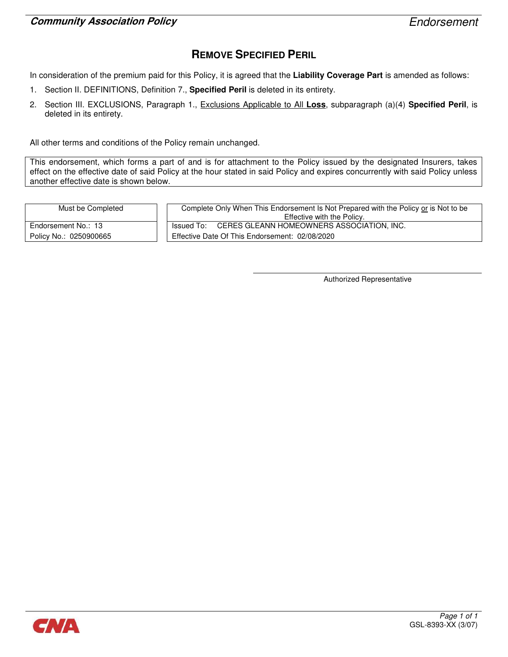# REMOVE SPECIFIED PERIL

In consideration of the premium paid for this Policy, it is agreed that the Liability Coverage Part is amended as follows:

- 1. Section II. DEFINITIONS, Definition 7., Specified Peril is deleted in its entirety.
- 2. Section III. EXCLUSIONS, Paragraph 1., Exclusions Applicable to All Loss, subparagraph (a)(4) Specified Peril, is deleted in its entirety.

All other terms and conditions of the Policy remain unchanged.

This endorsement, which forms a part of and is for attachment to the Policy issued by the designated Insurers, takes effect on the effective date of said Policy at the hour stated in said Policy and expires concurrently with said Policy unless another effective date is shown below.

Must be Completed

Endorsement No.: 13 Policy No.: 0250900665

| Complete Only When This Endorsement Is Not Prepared with the Policy or is Not to be |  |
|-------------------------------------------------------------------------------------|--|
| Effective with the Policy.                                                          |  |
| Issued To: CERES GLEANN HOMEOWNERS ASSOCIATION, INC.                                |  |
| Effective Date Of This Endorsement: 02/08/2020                                      |  |

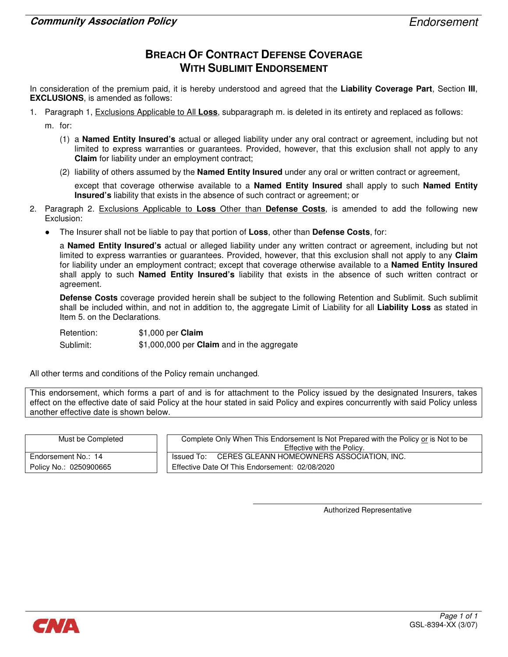### BREACH OF CONTRACT DEFENSE COVERAGE WITH SUBLIMIT ENDORSEMENT

In consideration of the premium paid, it is hereby understood and agreed that the Liability Coverage Part, Section III, EXCLUSIONS, is amended as follows:

1. Paragraph 1, Exclusions Applicable to All Loss, subparagraph m. is deleted in its entirety and replaced as follows:

m. for:

- (1) a Named Entity Insured's actual or alleged liability under any oral contract or agreement, including but not limited to express warranties or guarantees. Provided, however, that this exclusion shall not apply to any Claim for liability under an employment contract;
- (2) liability of others assumed by the **Named Entity Insured** under any oral or written contract or agreement,

except that coverage otherwise available to a **Named Entity Insured** shall apply to such **Named Entity** Insured's liability that exists in the absence of such contract or agreement; or

- 2. Paragraph 2. Exclusions Applicable to Loss Other than Defense Costs, is amended to add the following new Exclusion:
	- The Insurer shall not be liable to pay that portion of Loss, other than Defense Costs, for:

a Named Entity Insured's actual or alleged liability under any written contract or agreement, including but not limited to express warranties or guarantees. Provided, however, that this exclusion shall not apply to any Claim for liability under an employment contract; except that coverage otherwise available to a **Named Entity Insured** shall apply to such **Named Entity Insured's** liability that exists in the absence of such written contract or agreement.

Defense Costs coverage provided herein shall be subject to the following Retention and Sublimit. Such sublimit shall be included within, and not in addition to, the aggregate Limit of Liability for all Liability Loss as stated in Item 5. on the Declarations.

Retention: \$1,000 per Claim Sublimit: \$1,000,000 per Claim and in the aggregate

All other terms and conditions of the Policy remain unchanged.

This endorsement, which forms a part of and is for attachment to the Policy issued by the designated Insurers, takes effect on the effective date of said Policy at the hour stated in said Policy and expires concurrently with said Policy unless another effective date is shown below.

| Must be Completed      | Complete Only When This Endorsement Is Not Prepared with the Policy or is Not to be |
|------------------------|-------------------------------------------------------------------------------------|
|                        | Effective with the Policy.                                                          |
| Endorsement No.: 14    | Issued To: CERES GLEANN HOMEOWNERS ASSOCIATION, INC.                                |
| Policy No.: 0250900665 | Effective Date Of This Endorsement: 02/08/2020                                      |

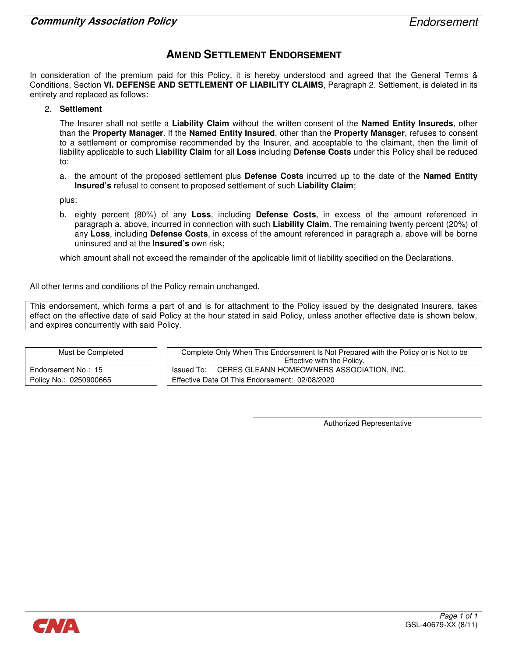### AMEND SETTLEMENT ENDORSEMENT

In consideration of the premium paid for this Policy, it is hereby understood and agreed that the General Terms & Conditions, Section VI. DEFENSE AND SETTLEMENT OF LIABILITY CLAIMS, Paragraph 2. Settlement, is deleted in its entirety and replaced as follows:

2. Settlement

The Insurer shall not settle a Liability Claim without the written consent of the Named Entity Insureds, other than the Property Manager. If the Named Entity Insured, other than the Property Manager, refuses to consent to a settlement or compromise recommended by the Insurer, and acceptable to the claimant, then the limit of liability applicable to such Liability Claim for all Loss including Defense Costs under this Policy shall be reduced to:

a. the amount of the proposed settlement plus Defense Costs incurred up to the date of the Named Entity Insured's refusal to consent to proposed settlement of such Liability Claim;

plus:

b. eighty percent (80%) of any Loss, including Defense Costs, in excess of the amount referenced in paragraph a. above, incurred in connection with such Liability Claim. The remaining twenty percent (20%) of any Loss, including Defense Costs, in excess of the amount referenced in paragraph a. above will be borne uninsured and at the **Insured's** own risk;

which amount shall not exceed the remainder of the applicable limit of liability specified on the Declarations.

All other terms and conditions of the Policy remain unchanged.

This endorsement, which forms a part of and is for attachment to the Policy issued by the designated Insurers, takes effect on the effective date of said Policy at the hour stated in said Policy, unless another effective date is shown below, and expires concurrently with said Policy.

| Must be Completed      | Complete Only When This Endorsement Is Not Prepared with the Policy or is Not to be<br>Effective with the Policy. |
|------------------------|-------------------------------------------------------------------------------------------------------------------|
| Endorsement No.: 15    | Issued To: CERES GLEANN HOMEOWNERS ASSOCIATION, INC.                                                              |
| Policy No.: 0250900665 | Effective Date Of This Endorsement: 02/08/2020                                                                    |

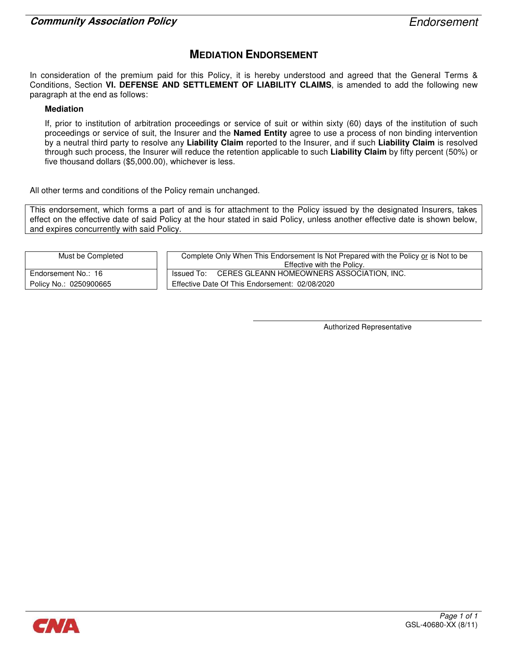# MEDIATION ENDORSEMENT

In consideration of the premium paid for this Policy, it is hereby understood and agreed that the General Terms & Conditions, Section VI. DEFENSE AND SETTLEMENT OF LIABILITY CLAIMS, is amended to add the following new paragraph at the end as follows:

#### Mediation

If, prior to institution of arbitration proceedings or service of suit or within sixty (60) days of the institution of such proceedings or service of suit, the Insurer and the **Named Entity** agree to use a process of non binding intervention by a neutral third party to resolve any Liability Claim reported to the Insurer, and if such Liability Claim is resolved through such process, the Insurer will reduce the retention applicable to such Liability Claim by fifty percent (50%) or five thousand dollars (\$5,000.00), whichever is less.

All other terms and conditions of the Policy remain unchanged.

This endorsement, which forms a part of and is for attachment to the Policy issued by the designated Insurers, takes effect on the effective date of said Policy at the hour stated in said Policy, unless another effective date is shown below, and expires concurrently with said Policy.

| Must be Completed      | Complete Only When This Endorsement Is Not Prepared with the Policy or is Not to be |
|------------------------|-------------------------------------------------------------------------------------|
|                        | Effective with the Policy.                                                          |
| Endorsement No.: 16    | Issued To: CERES GLEANN HOMEOWNERS ASSOCIATION, INC.                                |
| Policy No.: 0250900665 | Effective Date Of This Endorsement: 02/08/2020                                      |

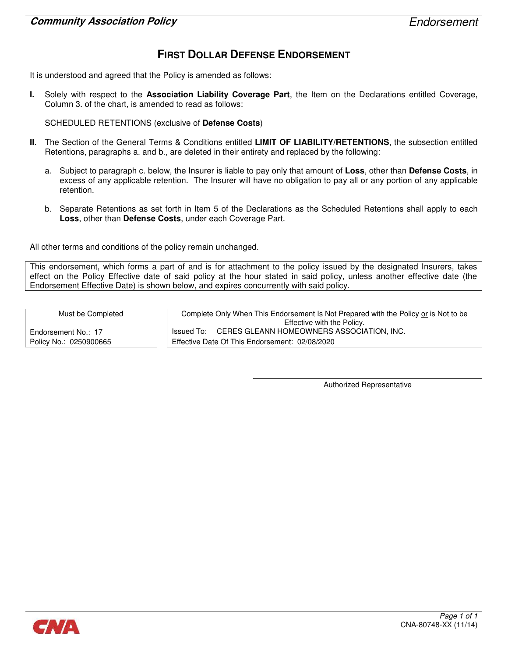# FIRST DOLLAR DEFENSE ENDORSEMENT

It is understood and agreed that the Policy is amended as follows:

I. Solely with respect to the Association Liability Coverage Part, the Item on the Declarations entitled Coverage, Column 3. of the chart, is amended to read as follows:

SCHEDULED RETENTIONS (exclusive of Defense Costs)

- II. The Section of the General Terms & Conditions entitled LIMIT OF LIABILITY/RETENTIONS, the subsection entitled Retentions, paragraphs a. and b., are deleted in their entirety and replaced by the following:
	- a. Subject to paragraph c. below, the Insurer is liable to pay only that amount of Loss, other than Defense Costs, in excess of any applicable retention. The Insurer will have no obligation to pay all or any portion of any applicable retention.
	- b. Separate Retentions as set forth in Item 5 of the Declarations as the Scheduled Retentions shall apply to each Loss, other than Defense Costs, under each Coverage Part.

All other terms and conditions of the policy remain unchanged.

This endorsement, which forms a part of and is for attachment to the policy issued by the designated Insurers, takes effect on the Policy Effective date of said policy at the hour stated in said policy, unless another effective date (the Endorsement Effective Date) is shown below, and expires concurrently with said policy.

Must be Completed Complete Only When This Endorsement Is Not Prepared with the Policy or is Not to be Effective with the Policy. Endorsement No.: 17 **ISSUED TO:** CERES GLEANN HOMEOWNERS ASSOCIATION, INC. Policy No.: 0250900665 **Effective Date Of This Endorsement: 02/08/2020** 

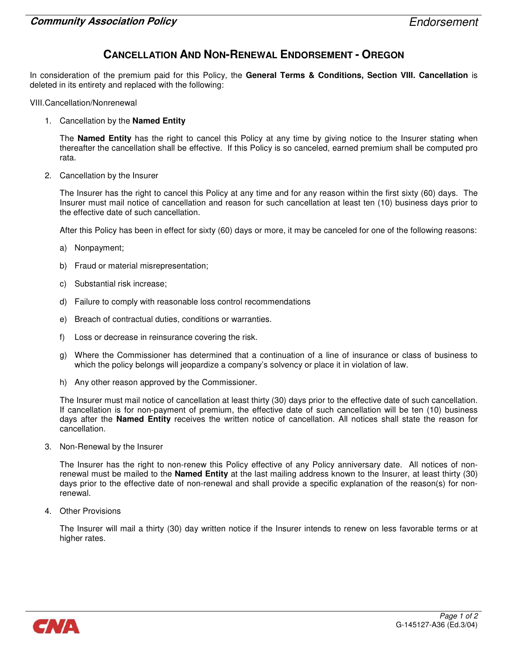### CANCELLATION AND NON-RENEWAL ENDORSEMENT - OREGON

In consideration of the premium paid for this Policy, the General Terms & Conditions, Section VIII. Cancellation is deleted in its entirety and replaced with the following:

VIII. Cancellation/Nonrenewal

1. Cancellation by the **Named Entity** 

The Named Entity has the right to cancel this Policy at any time by giving notice to the Insurer stating when thereafter the cancellation shall be effective. If this Policy is so canceled, earned premium shall be computed pro rata.

2. Cancellation by the Insurer

The Insurer has the right to cancel this Policy at any time and for any reason within the first sixty (60) days. The Insurer must mail notice of cancellation and reason for such cancellation at least ten (10) business days prior to the effective date of such cancellation.

After this Policy has been in effect for sixty (60) days or more, it may be canceled for one of the following reasons:

- a) Nonpayment;
- b) Fraud or material misrepresentation;
- c) Substantial risk increase;
- d) Failure to comply with reasonable loss control recommendations
- e) Breach of contractual duties, conditions or warranties.
- f) Loss or decrease in reinsurance covering the risk.
- g) Where the Commissioner has determined that a continuation of a line of insurance or class of business to which the policy belongs will jeopardize a company's solvency or place it in violation of law.
- h) Any other reason approved by the Commissioner.

The Insurer must mail notice of cancellation at least thirty (30) days prior to the effective date of such cancellation. If cancellation is for non-payment of premium, the effective date of such cancellation will be ten (10) business days after the Named Entity receives the written notice of cancellation. All notices shall state the reason for cancellation.

3. Non-Renewal by the Insurer

The Insurer has the right to non-renew this Policy effective of any Policy anniversary date. All notices of nonrenewal must be mailed to the **Named Entity** at the last mailing address known to the Insurer, at least thirty (30) days prior to the effective date of non-renewal and shall provide a specific explanation of the reason(s) for nonrenewal.

4. Other Provisions

The Insurer will mail a thirty (30) day written notice if the Insurer intends to renew on less favorable terms or at higher rates.

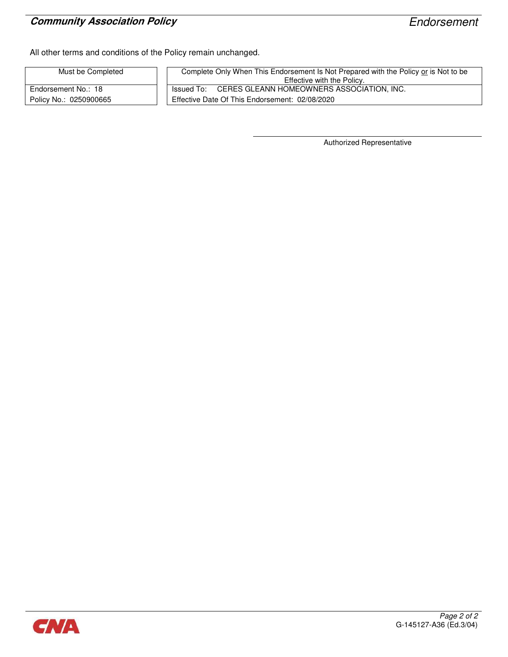# **Community Association Policy Endorsement**

All other terms and conditions of the Policy remain unchanged.

| Must be Completed      | Complete Only When This Endorsement Is Not Prepared with the Policy or is Not to be<br>Effective with the Policy. |
|------------------------|-------------------------------------------------------------------------------------------------------------------|
| Endorsement No.: 18    | Issued To: CERES GLEANN HOMEOWNERS ASSOCIATION, INC.                                                              |
| Policy No.: 0250900665 | Effective Date Of This Endorsement: 02/08/2020                                                                    |